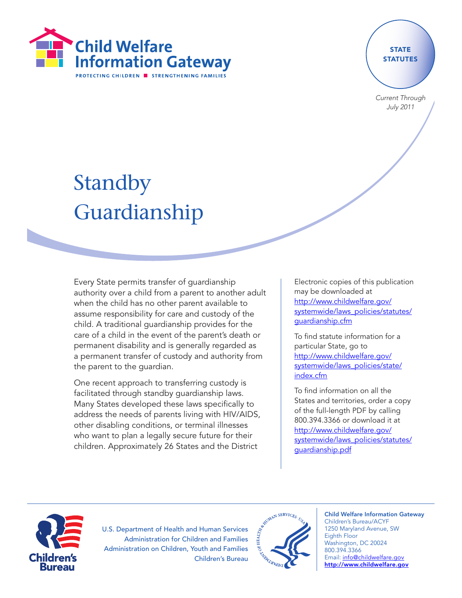

### **STATE STATUTES**

Current Through July 2011

# Standby Guardianship

Every State permits transfer of guardianship authority over a child from a parent to another adult when the child has no other parent available to assume responsibility for care and custody of the child. A traditional guardianship provides for the care of a child in the event of the parent's death or permanent disability and is generally regarded as a permanent transfer of custody and authority from the parent to the guardian.

One recent approach to transferring custody is facilitated through standby guardianship laws. Many States developed these laws specifically to address the needs of parents living with HIV/AIDS, other disabling conditions, or terminal illnesses who want to plan a legally secure future for their children. Approximately 26 States and the District

Electronic copies of this publication may be downloaded at [http://www.childwelfare.gov/](http://www.childwelfare.gov/systemwide/laws_policies/statutes/guardianship.cfm) [systemwide/laws\\_policies/statutes/](http://www.childwelfare.gov/systemwide/laws_policies/statutes/guardianship.cfm) [guardianship.cfm](http://www.childwelfare.gov/systemwide/laws_policies/statutes/guardianship.cfm)

To find statute information for a particular State, go to [http://www.childwelfare.gov/](http://www.childwelfare.gov/systemwide/laws_policies/state/index.cfm) [systemwide/laws\\_policies/state/](http://www.childwelfare.gov/systemwide/laws_policies/state/index.cfm) [index.cfm](http://www.childwelfare.gov/systemwide/laws_policies/state/index.cfm)

To find information on all the States and territories, order a copy of the full-length PDF by calling 800.394.3366 or download it at [http://www.childwelfare.gov/](http://www.childwelfare.gov/systemwide/laws_policies/statutes/guardianship.pdf) [systemwide/laws\\_policies/statutes/](http://www.childwelfare.gov/systemwide/laws_policies/statutes/guardianship.pdf) [guardianship.pdf](http://www.childwelfare.gov/systemwide/laws_policies/statutes/guardianship.pdf)



U.S. Department of Health and Human Services Administration for Children and Families Administration on Children, Youth and Families Children's Bureau



#### Child Welfare Information Gateway Children's Bureau/ACYF 1250 Maryland Avenue, SW Eighth Floor Washington, DC 20024 800.394.3366 Email: info@childwelfare.gov http://www.childwelfare.gov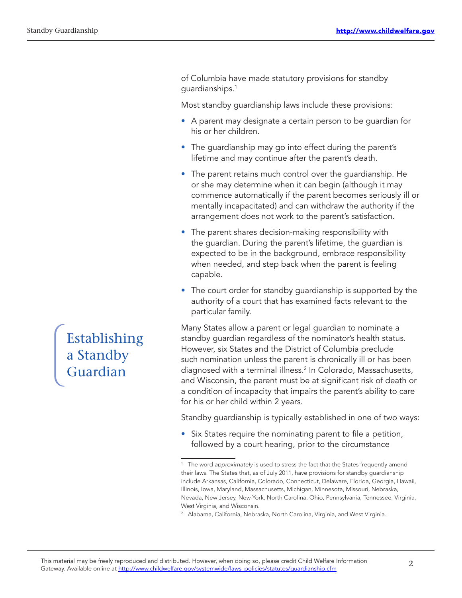of Columbia have made statutory provisions for standby guardianships.1

Most standby guardianship laws include these provisions:

- A parent may designate a certain person to be guardian for his or her children.
- The guardianship may go into effect during the parent's lifetime and may continue after the parent's death.
- The parent retains much control over the guardianship. He or she may determine when it can begin (although it may commence automatically if the parent becomes seriously ill or mentally incapacitated) and can withdraw the authority if the arrangement does not work to the parent's satisfaction.
- The parent shares decision-making responsibility with the guardian. During the parent's lifetime, the guardian is expected to be in the background, embrace responsibility when needed, and step back when the parent is feeling capable.
- The court order for standby guardianship is supported by the authority of a court that has examined facts relevant to the particular family.

Many States allow a parent or legal guardian to nominate a standby guardian regardless of the nominator's health status. However, six States and the District of Columbia preclude such nomination unless the parent is chronically ill or has been diagnosed with a terminal illness.2 In Colorado, Massachusetts, and Wisconsin, the parent must be at significant risk of death or a condition of incapacity that impairs the parent's ability to care for his or her child within 2 years.

Standby guardianship is typically established in one of two ways:

• Six States require the nominating parent to file a petition, followed by a court hearing, prior to the circumstance

Establishing a Standby Guardian

<sup>&</sup>lt;sup>1</sup> The word approximately is used to stress the fact that the States frequently amend their laws. The States that, as of July 2011, have provisions for standby guardianship include Arkansas, California, Colorado, Connecticut, Delaware, Florida, Georgia, Hawaii, Illinois, Iowa, Maryland, Massachusetts, Michigan, Minnesota, Missouri, Nebraska, Nevada, New Jersey, New York, North Carolina, Ohio, Pennsylvania, Tennessee, Virginia, West Virginia, and Wisconsin.

<sup>2</sup> Alabama, California, Nebraska, North Carolina, Virginia, and West Virginia.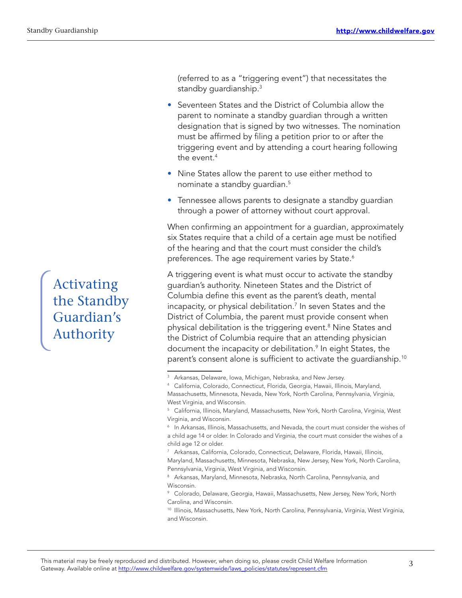(referred to as a "triggering event") that necessitates the standby quardianship.<sup>3</sup>

- Seventeen States and the District of Columbia allow the parent to nominate a standby guardian through a written designation that is signed by two witnesses. The nomination must be affirmed by filing a petition prior to or after the triggering event and by attending a court hearing following the event  $4$
- Nine States allow the parent to use either method to nominate a standby guardian.5
- Tennessee allows parents to designate a standby quardian through a power of attorney without court approval.

When confirming an appointment for a guardian, approximately six States require that a child of a certain age must be notified of the hearing and that the court must consider the child's preferences. The age requirement varies by State.<sup>6</sup>

A triggering event is what must occur to activate the standby guardian's authority. Nineteen States and the District of Columbia define this event as the parent's death, mental incapacity, or physical debilitation.<sup>7</sup> In seven States and the District of Columbia, the parent must provide consent when physical debilitation is the triggering event.8 Nine States and the District of Columbia require that an attending physician document the incapacity or debilitation.9 In eight States, the parent's consent alone is sufficient to activate the guardianship.<sup>10</sup>

Activating the Standby Guardian's Authority

<sup>&</sup>lt;sup>3</sup> Arkansas, Delaware, Iowa, Michigan, Nebraska, and New Jersey.

<sup>&</sup>lt;sup>4</sup> California, Colorado, Connecticut, Florida, Georgia, Hawaii, Illinois, Maryland, Massachusetts, Minnesota, Nevada, New York, North Carolina, Pennsylvania, Virginia, West Virginia, and Wisconsin.

<sup>&</sup>lt;sup>5</sup> California, Illinois, Maryland, Massachusetts, New York, North Carolina, Virginia, West Virginia, and Wisconsin.

<sup>6</sup> In Arkansas, Illinois, Massachusetts, and Nevada, the court must consider the wishes of a child age 14 or older. In Colorado and Virginia, the court must consider the wishes of a child age 12 or older.

<sup>7</sup> Arkansas, California, Colorado, Connecticut, Delaware, Florida, Hawaii, Illinois, Maryland, Massachusetts, Minnesota, Nebraska, New Jersey, New York, North Carolina, Pennsylvania, Virginia, West Virginia, and Wisconsin.

<sup>8</sup> Arkansas, Maryland, Minnesota, Nebraska, North Carolina, Pennsylvania, and Wisconsin.

<sup>9</sup> Colorado, Delaware, Georgia, Hawaii, Massachusetts, New Jersey, New York, North Carolina, and Wisconsin.

<sup>&</sup>lt;sup>10</sup> Illinois, Massachusetts, New York, North Carolina, Pennsylvania, Virginia, West Virginia, and Wisconsin.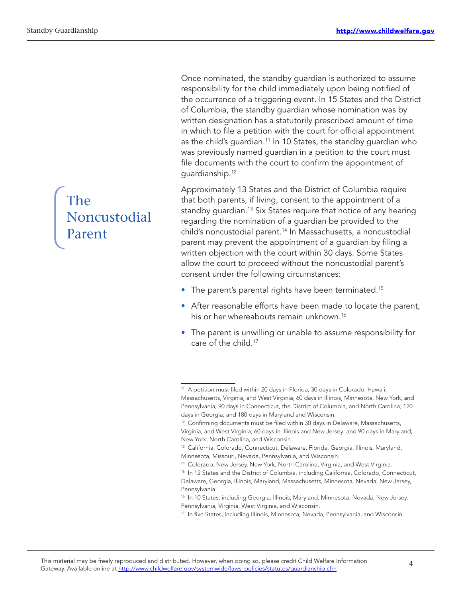Once nominated, the standby guardian is authorized to assume responsibility for the child immediately upon being notified of the occurrence of a triggering event. In 15 States and the District of Columbia, the standby guardian whose nomination was by written designation has a statutorily prescribed amount of time in which to file a petition with the court for official appointment as the child's guardian.<sup>11</sup> In 10 States, the standby guardian who was previously named guardian in a petition to the court must file documents with the court to confirm the appointment of guardianship.12

Approximately 13 States and the District of Columbia require that both parents, if living, consent to the appointment of a standby quardian.<sup>13</sup> Six States require that notice of any hearing regarding the nomination of a guardian be provided to the child's noncustodial parent.<sup>14</sup> In Massachusetts, a noncustodial parent may prevent the appointment of a guardian by filing a written objection with the court within 30 days. Some States allow the court to proceed without the noncustodial parent's consent under the following circumstances:

- The parent's parental rights have been terminated.<sup>15</sup>
- After reasonable efforts have been made to locate the parent, his or her whereabouts remain unknown.<sup>16</sup>
- The parent is unwilling or unable to assume responsibility for care of the child.17

# The Noncustodial Parent

<sup>&</sup>lt;sup>11</sup> A petition must filed within 20 days in Florida; 30 days in Colorado, Hawaii, Massachusetts, Virginia, and West Virginia; 60 days in Illinois, Minnesota, New York, and Pennsylvania; 90 days in Connecticut, the District of Columbia, and North Carolina; 120 days in Georgia; and 180 days in Maryland and Wisconsin.

<sup>&</sup>lt;sup>12</sup> Confirming documents must be filed within 30 days in Delaware, Massachusetts, Virginia, and West Virginia; 60 days in Illinois and New Jersey; and 90 days in Maryland, New York, North Carolina, and Wisconsin.

<sup>13</sup> California, Colorado, Connecticut, Delaware, Florida, Georgia, Illinois, Maryland, Minnesota, Missouri, Nevada, Pennsylvania, and Wisconsin.

<sup>&</sup>lt;sup>14</sup> Colorado, New Jersey, New York, North Carolina, Virginia, and West Virginia.

<sup>&</sup>lt;sup>15</sup> In 12 States and the District of Columbia, including California, Colorado, Connecticut, Delaware, Georgia, Illinois, Maryland, Massachusetts, Minnesota, Nevada, New Jersey, Pennsylvania.

<sup>&</sup>lt;sup>16</sup> In 10 States, including Georgia, Illinois, Maryland, Minnesota, Nevada, New Jersey, Pennsylvania, Virginia, West Virginia, and Wisconsin.

<sup>&</sup>lt;sup>17</sup> In five States, including Illinois, Minnesota, Nevada, Pennsylvania, and Wisconsin.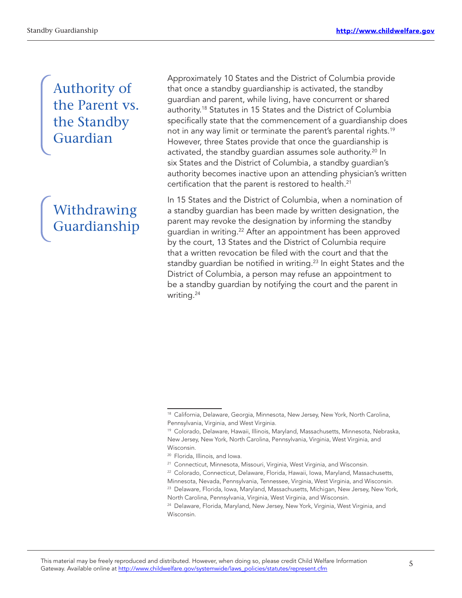## Authority of the Parent vs. the Standby Guardian

# Withdrawing Guardianship

Approximately 10 States and the District of Columbia provide that once a standby guardianship is activated, the standby guardian and parent, while living, have concurrent or shared authority.18 Statutes in 15 States and the District of Columbia specifically state that the commencement of a guardianship does not in any way limit or terminate the parent's parental rights.<sup>19</sup> However, three States provide that once the guardianship is activated, the standby guardian assumes sole authority.<sup>20</sup> In six States and the District of Columbia, a standby guardian's authority becomes inactive upon an attending physician's written certification that the parent is restored to health.<sup>21</sup>

In 15 States and the District of Columbia, when a nomination of a standby guardian has been made by written designation, the parent may revoke the designation by informing the standby guardian in writing.<sup>22</sup> After an appointment has been approved by the court, 13 States and the District of Columbia require that a written revocation be filed with the court and that the standby guardian be notified in writing.<sup>23</sup> In eight States and the District of Columbia, a person may refuse an appointment to be a standby guardian by notifying the court and the parent in writing.24

<sup>&</sup>lt;sup>18</sup> California, Delaware, Georgia, Minnesota, New Jersey, New York, North Carolina, Pennsylvania, Virginia, and West Virginia.

<sup>19</sup> Colorado, Delaware, Hawaii, Illinois, Maryland, Massachusetts, Minnesota, Nebraska, New Jersey, New York, North Carolina, Pennsylvania, Virginia, West Virginia, and Wisconsin.

<sup>20</sup> Florida, Illinois, and Iowa.

<sup>&</sup>lt;sup>21</sup> Connecticut, Minnesota, Missouri, Virginia, West Virginia, and Wisconsin.

<sup>22</sup> Colorado, Connecticut, Delaware, Florida, Hawaii, Iowa, Maryland, Massachusetts, Minnesota, Nevada, Pennsylvania, Tennessee, Virginia, West Virginia, and Wisconsin. <sup>23</sup> Delaware, Florida, Iowa, Maryland, Massachusetts, Michigan, New Jersey, New York,

North Carolina, Pennsylvania, Virginia, West Virginia, and Wisconsin.

<sup>&</sup>lt;sup>24</sup> Delaware, Florida, Maryland, New Jersey, New York, Virginia, West Virginia, and Wisconsin.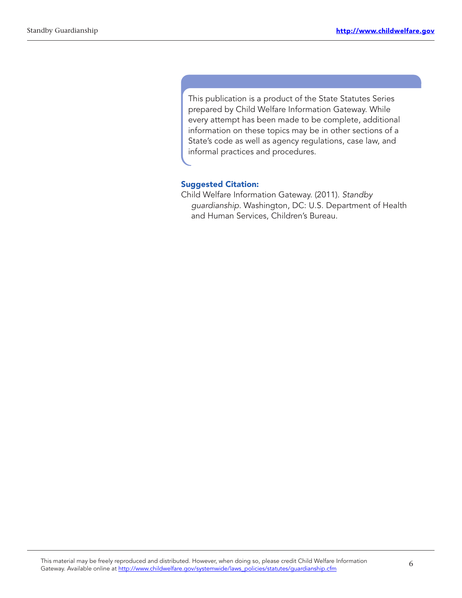This publication is a product of the State Statutes Series prepared by Child Welfare Information Gateway. While every attempt has been made to be complete, additional information on these topics may be in other sections of a State's code as well as agency regulations, case law, and informal practices and procedures.

#### Suggested Citation:

Child Welfare Information Gateway. (2011). Standby guardianship. Washington, DC: U.S. Department of Health and Human Services, Children's Bureau.

6 This material may be freely reproduced and distributed. However, when doing so, please credit Child Welfare Information Gateway. Available online at http://www.childwelfare.gov/systemwide/laws\_policies/statutes/guardianship.cfm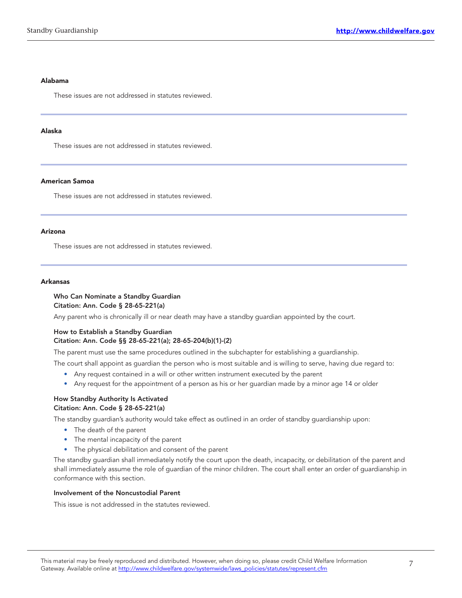#### Alabama

These issues are not addressed in statutes reviewed.

#### Alaska

These issues are not addressed in statutes reviewed.

#### American Samoa

These issues are not addressed in statutes reviewed.

#### Arizona

These issues are not addressed in statutes reviewed.

#### Arkansas

#### Who Can Nominate a Standby Guardian Citation: Ann. Code § 28-65-221(a)

Any parent who is chronically ill or near death may have a standby guardian appointed by the court.

#### How to Establish a Standby Guardian Citation: Ann. Code §§ 28-65-221(a); 28-65-204(b)(1)-(2)

The parent must use the same procedures outlined in the subchapter for establishing a guardianship.

The court shall appoint as guardian the person who is most suitable and is willing to serve, having due regard to:

- Any request contained in a will or other written instrument executed by the parent
- Any request for the appointment of a person as his or her guardian made by a minor age 14 or older

#### How Standby Authority Is Activated Citation: Ann. Code § 28-65-221(a)

The standby guardian's authority would take effect as outlined in an order of standby guardianship upon:

- The death of the parent
- The mental incapacity of the parent
- The physical debilitation and consent of the parent

The standby guardian shall immediately notify the court upon the death, incapacity, or debilitation of the parent and shall immediately assume the role of guardian of the minor children. The court shall enter an order of guardianship in conformance with this section.

#### Involvement of the Noncustodial Parent

This issue is not addressed in the statutes reviewed.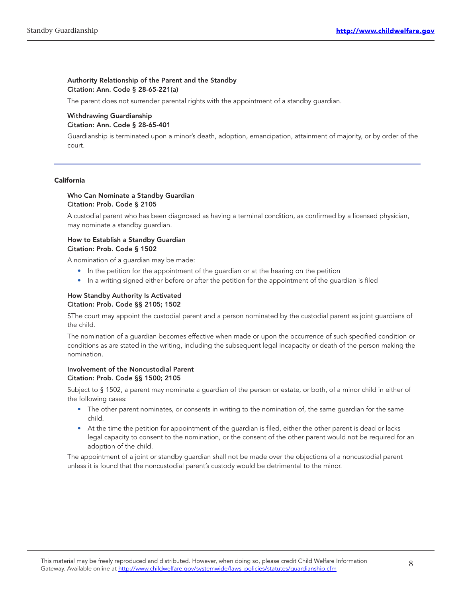#### Authority Relationship of the Parent and the Standby Citation: Ann. Code § 28-65-221(a)

The parent does not surrender parental rights with the appointment of a standby guardian.

#### Withdrawing Guardianship Citation: Ann. Code § 28-65-401

Guardianship is terminated upon a minor's death, adoption, emancipation, attainment of majority, or by order of the court.

#### California

#### Who Can Nominate a Standby Guardian Citation: Prob. Code § 2105

A custodial parent who has been diagnosed as having a terminal condition, as confirmed by a licensed physician, may nominate a standby guardian.

#### How to Establish a Standby Guardian Citation: Prob. Code § 1502

A nomination of a guardian may be made:

- In the petition for the appointment of the guardian or at the hearing on the petition
- In a writing signed either before or after the petition for the appointment of the guardian is filed

#### How Standby Authority Is Activated Citation: Prob. Code §§ 2105; 1502

SThe court may appoint the custodial parent and a person nominated by the custodial parent as joint guardians of the child.

The nomination of a guardian becomes effective when made or upon the occurrence of such specified condition or conditions as are stated in the writing, including the subsequent legal incapacity or death of the person making the nomination.

#### Involvement of the Noncustodial Parent Citation: Prob. Code §§ 1500; 2105

Subject to § 1502, a parent may nominate a guardian of the person or estate, or both, of a minor child in either of the following cases:

- The other parent nominates, or consents in writing to the nomination of, the same guardian for the same child.
- At the time the petition for appointment of the guardian is filed, either the other parent is dead or lacks legal capacity to consent to the nomination, or the consent of the other parent would not be required for an adoption of the child.

The appointment of a joint or standby guardian shall not be made over the objections of a noncustodial parent unless it is found that the noncustodial parent's custody would be detrimental to the minor.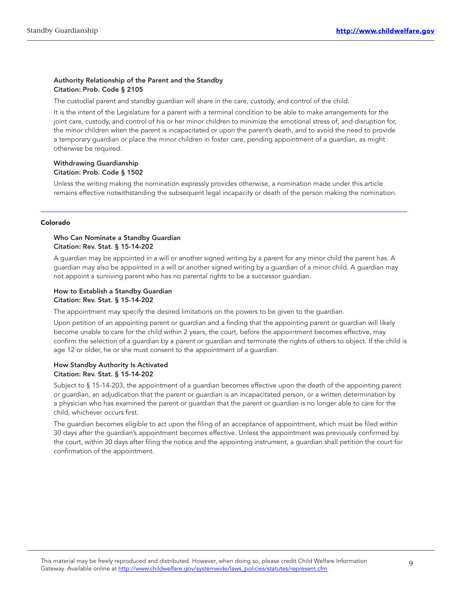#### Authority Relationship of the Parent and the Standby Citation: Prob. Code § 2105

The custodial parent and standby guardian will share in the care, custody, and control of the child.

It is the intent of the Legislature for a parent with a terminal condition to be able to make arrangements for the joint care, custody, and control of his or her minor children to minimize the emotional stress of, and disruption for, the minor children when the parent is incapacitated or upon the parent's death, and to avoid the need to provide a temporary guardian or place the minor children in foster care, pending appointment of a guardian, as might otherwise be required.

#### Withdrawing Guardianship Citation: Prob. Code § 1502

Unless the writing making the nomination expressly provides otherwise, a nomination made under this article remains effective notwithstanding the subsequent legal incapacity or death of the person making the nomination.

#### Colorado

#### Who Can Nominate a Standby Guardian Citation: Rev. Stat. § 15-14-202

A guardian may be appointed in a will or another signed writing by a parent for any minor child the parent has. A guardian may also be appointed in a will or another signed writing by a guardian of a minor child. A guardian may not appoint a surviving parent who has no parental rights to be a successor guardian.

#### How to Establish a Standby Guardian Citation: Rev. Stat. § 15-14-202

The appointment may specify the desired limitations on the powers to be given to the guardian.

Upon petition of an appointing parent or guardian and a finding that the appointing parent or guardian will likely become unable to care for the child within 2 years, the court, before the appointment becomes effective, may confirm the selection of a guardian by a parent or guardian and terminate the rights of others to object. If the child is age 12 or older, he or she must consent to the appointment of a guardian.

#### How Standby Authority Is Activated Citation: Rev. Stat. § 15-14-202

Subject to § 15-14-203, the appointment of a guardian becomes effective upon the death of the appointing parent or guardian, an adjudication that the parent or guardian is an incapacitated person, or a written determination by a physician who has examined the parent or guardian that the parent or guardian is no longer able to care for the child, whichever occurs first.

The guardian becomes eligible to act upon the filing of an acceptance of appointment, which must be filed within 30 days after the guardian's appointment becomes effective. Unless the appointment was previously confirmed by the court, within 30 days after filing the notice and the appointing instrument, a guardian shall petition the court for confirmation of the appointment.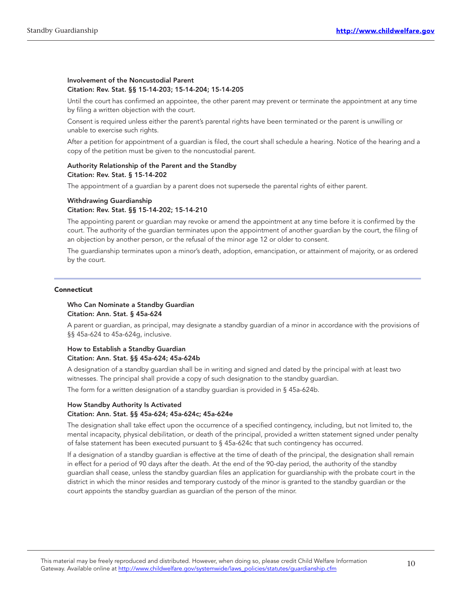#### Involvement of the Noncustodial Parent Citation: Rev. Stat. §§ 15-14-203; 15-14-204; 15-14-205

Until the court has confirmed an appointee, the other parent may prevent or terminate the appointment at any time by filing a written objection with the court.

Consent is required unless either the parent's parental rights have been terminated or the parent is unwilling or unable to exercise such rights.

After a petition for appointment of a guardian is filed, the court shall schedule a hearing. Notice of the hearing and a copy of the petition must be given to the noncustodial parent.

#### Authority Relationship of the Parent and the Standby Citation: Rev. Stat. § 15-14-202

The appointment of a guardian by a parent does not supersede the parental rights of either parent.

### Withdrawing Guardianship

#### Citation: Rev. Stat. §§ 15-14-202; 15-14-210

The appointing parent or guardian may revoke or amend the appointment at any time before it is confirmed by the court. The authority of the guardian terminates upon the appointment of another guardian by the court, the filing of an objection by another person, or the refusal of the minor age 12 or older to consent.

The guardianship terminates upon a minor's death, adoption, emancipation, or attainment of majority, or as ordered by the court.

#### **Connecticut**

#### Who Can Nominate a Standby Guardian Citation: Ann. Stat. § 45a-624

A parent or guardian, as principal, may designate a standby guardian of a minor in accordance with the provisions of §§ 45a-624 to 45a-624g, inclusive.

#### How to Establish a Standby Guardian Citation: Ann. Stat. §§ 45a-624; 45a-624b

A designation of a standby guardian shall be in writing and signed and dated by the principal with at least two witnesses. The principal shall provide a copy of such designation to the standby guardian.

The form for a written designation of a standby guardian is provided in § 45a-624b.

#### How Standby Authority Is Activated Citation: Ann. Stat. §§ 45a-624; 45a-624c; 45a-624e

The designation shall take effect upon the occurrence of a specified contingency, including, but not limited to, the mental incapacity, physical debilitation, or death of the principal, provided a written statement signed under penalty of false statement has been executed pursuant to § 45a‑624c that such contingency has occurred.

If a designation of a standby guardian is effective at the time of death of the principal, the designation shall remain in effect for a period of 90 days after the death. At the end of the 90‑day period, the authority of the standby guardian shall cease, unless the standby guardian files an application for guardianship with the probate court in the district in which the minor resides and temporary custody of the minor is granted to the standby guardian or the court appoints the standby guardian as guardian of the person of the minor.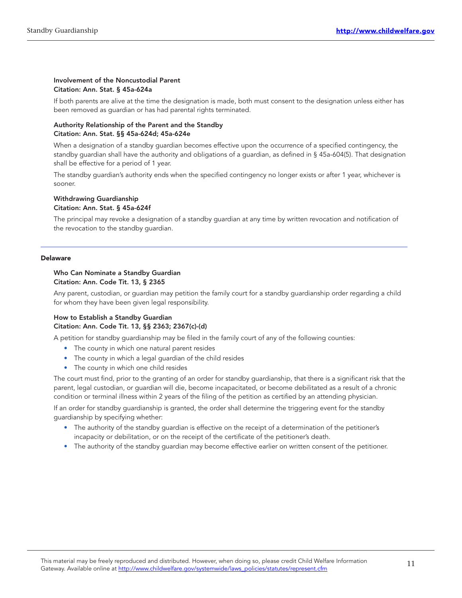#### Involvement of the Noncustodial Parent Citation: Ann. Stat. § 45a-624a

If both parents are alive at the time the designation is made, both must consent to the designation unless either has been removed as guardian or has had parental rights terminated.

#### Authority Relationship of the Parent and the Standby Citation: Ann. Stat. §§ 45a-624d; 45a-624e

When a designation of a standby guardian becomes effective upon the occurrence of a specified contingency, the standby guardian shall have the authority and obligations of a guardian, as defined in § 45a-604(5). That designation shall be effective for a period of 1 year.

The standby guardian's authority ends when the specified contingency no longer exists or after 1 year, whichever is sooner.

#### Withdrawing Guardianship Citation: Ann. Stat. § 45a-624f

The principal may revoke a designation of a standby guardian at any time by written revocation and notification of the revocation to the standby guardian.

#### Delaware

#### Who Can Nominate a Standby Guardian Citation: Ann. Code Tit. 13, § 2365

Any parent, custodian, or guardian may petition the family court for a standby guardianship order regarding a child for whom they have been given legal responsibility.

#### How to Establish a Standby Guardian Citation: Ann. Code Tit. 13, §§ 2363; 2367(c)-(d)

A petition for standby guardianship may be filed in the family court of any of the following counties:

- The county in which one natural parent resides
- The county in which a legal guardian of the child resides
- The county in which one child resides

The court must find, prior to the granting of an order for standby guardianship, that there is a significant risk that the parent, legal custodian, or guardian will die, become incapacitated, or become debilitated as a result of a chronic condition or terminal illness within 2 years of the filing of the petition as certified by an attending physician.

If an order for standby guardianship is granted, the order shall determine the triggering event for the standby guardianship by specifying whether:

- The authority of the standby guardian is effective on the receipt of a determination of the petitioner's incapacity or debilitation, or on the receipt of the certificate of the petitioner's death.
- The authority of the standby guardian may become effective earlier on written consent of the petitioner.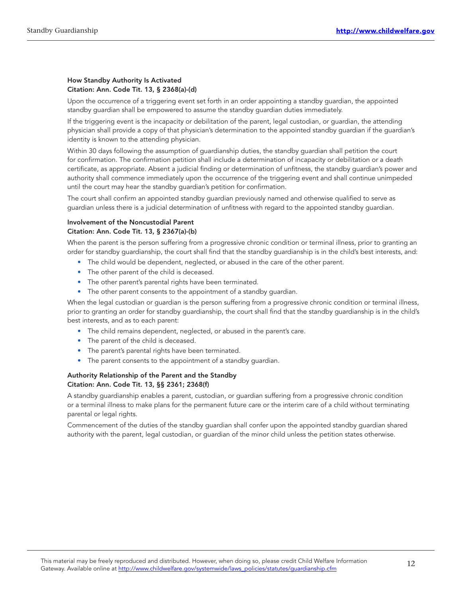#### How Standby Authority Is Activated Citation: Ann. Code Tit. 13, § 2368(a)-(d)

Upon the occurrence of a triggering event set forth in an order appointing a standby guardian, the appointed standby guardian shall be empowered to assume the standby guardian duties immediately.

If the triggering event is the incapacity or debilitation of the parent, legal custodian, or guardian, the attending physician shall provide a copy of that physician's determination to the appointed standby guardian if the guardian's identity is known to the attending physician.

Within 30 days following the assumption of guardianship duties, the standby guardian shall petition the court for confirmation. The confirmation petition shall include a determination of incapacity or debilitation or a death certificate, as appropriate. Absent a judicial finding or determination of unfitness, the standby guardian's power and authority shall commence immediately upon the occurrence of the triggering event and shall continue unimpeded until the court may hear the standby guardian's petition for confirmation.

The court shall confirm an appointed standby guardian previously named and otherwise qualified to serve as guardian unless there is a judicial determination of unfitness with regard to the appointed standby guardian.

#### Involvement of the Noncustodial Parent Citation: Ann. Code Tit. 13, § 2367(a)-(b)

When the parent is the person suffering from a progressive chronic condition or terminal illness, prior to granting an order for standby guardianship, the court shall find that the standby guardianship is in the child's best interests, and:

- The child would be dependent, neglected, or abused in the care of the other parent.
- The other parent of the child is deceased.
- The other parent's parental rights have been terminated.
- The other parent consents to the appointment of a standby guardian.

When the legal custodian or guardian is the person suffering from a progressive chronic condition or terminal illness, prior to granting an order for standby guardianship, the court shall find that the standby guardianship is in the child's best interests, and as to each parent:

- The child remains dependent, neglected, or abused in the parent's care.
- The parent of the child is deceased.
- The parent's parental rights have been terminated.
- The parent consents to the appointment of a standby guardian.

#### Authority Relationship of the Parent and the Standby Citation: Ann. Code Tit. 13, §§ 2361; 2368(f)

A standby guardianship enables a parent, custodian, or guardian suffering from a progressive chronic condition or a terminal illness to make plans for the permanent future care or the interim care of a child without terminating parental or legal rights.

Commencement of the duties of the standby guardian shall confer upon the appointed standby guardian shared authority with the parent, legal custodian, or guardian of the minor child unless the petition states otherwise.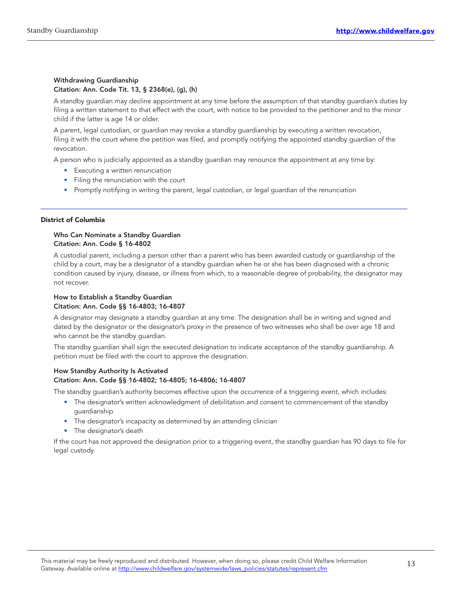#### Withdrawing Guardianship Citation: Ann. Code Tit. 13, § 2368(e), (g), (h)

A standby guardian may decline appointment at any time before the assumption of that standby guardian's duties by filing a written statement to that effect with the court, with notice to be provided to the petitioner and to the minor child if the latter is age 14 or older.

A parent, legal custodian, or guardian may revoke a standby guardianship by executing a written revocation, filing it with the court where the petition was filed, and promptly notifying the appointed standby guardian of the revocation.

A person who is judicially appointed as a standby guardian may renounce the appointment at any time by:

- Executing a written renunciation
- Filing the renunciation with the court
- Promptly notifying in writing the parent, legal custodian, or legal guardian of the renunciation

#### District of Columbia

#### Who Can Nominate a Standby Guardian Citation: Ann. Code § 16-4802

A custodial parent, including a person other than a parent who has been awarded custody or guardianship of the child by a court, may be a designator of a standby guardian when he or she has been diagnosed with a chronic condition caused by injury, disease, or illness from which, to a reasonable degree of probability, the designator may not recover.

#### How to Establish a Standby Guardian Citation: Ann. Code §§ 16-4803; 16-4807

A designator may designate a standby guardian at any time. The designation shall be in writing and signed and dated by the designator or the designator's proxy in the presence of two witnesses who shall be over age 18 and who cannot be the standby guardian.

The standby guardian shall sign the executed designation to indicate acceptance of the standby guardianship. A petition must be filed with the court to approve the designation.

#### How Standby Authority Is Activated Citation: Ann. Code §§ 16-4802; 16-4805; 16-4806; 16-4807

The standby guardian's authority becomes effective upon the occurrence of a triggering event, which includes:

- The designator's written acknowledgment of debilitation and consent to commencement of the standby guardianship
- The designator's incapacity as determined by an attending clinician
- The designator's death

If the court has not approved the designation prior to a triggering event, the standby guardian has 90 days to file for legal custody.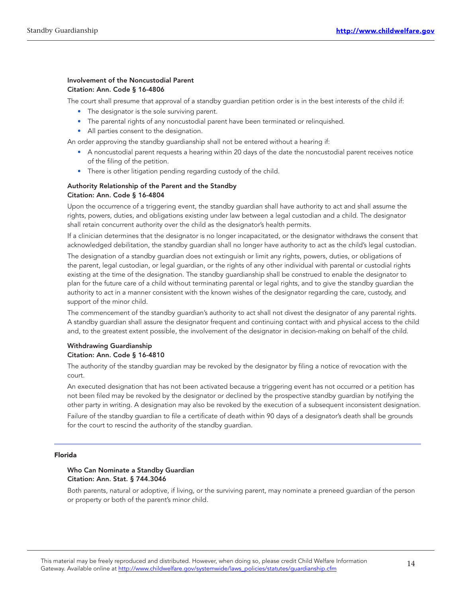#### Involvement of the Noncustodial Parent Citation: Ann. Code § 16-4806

The court shall presume that approval of a standby guardian petition order is in the best interests of the child if:

- The designator is the sole surviving parent.
- The parental rights of any noncustodial parent have been terminated or relinquished.
- All parties consent to the designation.

An order approving the standby guardianship shall not be entered without a hearing if:

- A noncustodial parent requests a hearing within 20 days of the date the noncustodial parent receives notice of the filing of the petition.
- There is other litigation pending regarding custody of the child.

#### Authority Relationship of the Parent and the Standby Citation: Ann. Code § 16-4804

Upon the occurrence of a triggering event, the standby guardian shall have authority to act and shall assume the rights, powers, duties, and obligations existing under law between a legal custodian and a child. The designator shall retain concurrent authority over the child as the designator's health permits.

If a clinician determines that the designator is no longer incapacitated, or the designator withdraws the consent that acknowledged debilitation, the standby guardian shall no longer have authority to act as the child's legal custodian.

The designation of a standby guardian does not extinguish or limit any rights, powers, duties, or obligations of the parent, legal custodian, or legal guardian, or the rights of any other individual with parental or custodial rights existing at the time of the designation. The standby guardianship shall be construed to enable the designator to plan for the future care of a child without terminating parental or legal rights, and to give the standby guardian the authority to act in a manner consistent with the known wishes of the designator regarding the care, custody, and support of the minor child.

The commencement of the standby guardian's authority to act shall not divest the designator of any parental rights. A standby guardian shall assure the designator frequent and continuing contact with and physical access to the child and, to the greatest extent possible, the involvement of the designator in decision-making on behalf of the child.

#### Withdrawing Guardianship Citation: Ann. Code § 16-4810

The authority of the standby guardian may be revoked by the designator by filing a notice of revocation with the court.

An executed designation that has not been activated because a triggering event has not occurred or a petition has not been filed may be revoked by the designator or declined by the prospective standby guardian by notifying the other party in writing. A designation may also be revoked by the execution of a subsequent inconsistent designation.

Failure of the standby guardian to file a certificate of death within 90 days of a designator's death shall be grounds for the court to rescind the authority of the standby guardian.

#### Florida

#### Who Can Nominate a Standby Guardian Citation: Ann. Stat. § 744.3046

Both parents, natural or adoptive, if living, or the surviving parent, may nominate a preneed guardian of the person or property or both of the parent's minor child.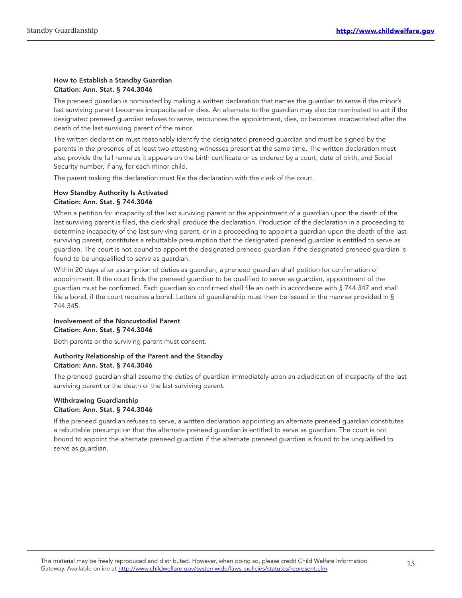#### How to Establish a Standby Guardian Citation: Ann. Stat. § 744.3046

The preneed guardian is nominated by making a written declaration that names the guardian to serve if the minor's last surviving parent becomes incapacitated or dies. An alternate to the guardian may also be nominated to act if the designated preneed guardian refuses to serve, renounces the appointment, dies, or becomes incapacitated after the death of the last surviving parent of the minor.

The written declaration must reasonably identify the designated preneed guardian and must be signed by the parents in the presence of at least two attesting witnesses present at the same time. The written declaration must also provide the full name as it appears on the birth certificate or as ordered by a court, date of birth, and Social Security number, if any, for each minor child.

The parent making the declaration must file the declaration with the clerk of the court.

#### How Standby Authority Is Activated Citation: Ann. Stat. § 744.3046

When a petition for incapacity of the last surviving parent or the appointment of a guardian upon the death of the last surviving parent is filed, the clerk shall produce the declaration. Production of the declaration in a proceeding to determine incapacity of the last surviving parent, or in a proceeding to appoint a guardian upon the death of the last surviving parent, constitutes a rebuttable presumption that the designated preneed guardian is entitled to serve as guardian. The court is not bound to appoint the designated preneed guardian if the designated preneed guardian is found to be unqualified to serve as guardian.

Within 20 days after assumption of duties as guardian, a preneed guardian shall petition for confirmation of appointment. If the court finds the preneed guardian to be qualified to serve as guardian, appointment of the guardian must be confirmed. Each guardian so confirmed shall file an oath in accordance with § 744.347 and shall file a bond, if the court requires a bond. Letters of guardianship must then be issued in the manner provided in § 744.345.

#### Involvement of the Noncustodial Parent Citation: Ann. Stat. § 744.3046

Both parents or the surviving parent must consent.

#### Authority Relationship of the Parent and the Standby Citation: Ann. Stat. § 744.3046

The preneed guardian shall assume the duties of guardian immediately upon an adjudication of incapacity of the last surviving parent or the death of the last surviving parent.

#### Withdrawing Guardianship Citation: Ann. Stat. § 744.3046

If the preneed guardian refuses to serve, a written declaration appointing an alternate preneed guardian constitutes a rebuttable presumption that the alternate preneed guardian is entitled to serve as guardian. The court is not bound to appoint the alternate preneed guardian if the alternate preneed guardian is found to be unqualified to serve as guardian.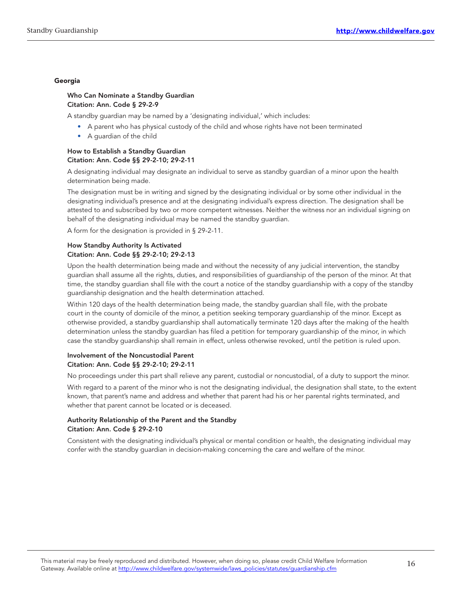#### Georgia

#### Who Can Nominate a Standby Guardian Citation: Ann. Code § 29-2-9

A standby guardian may be named by a 'designating individual,' which includes:

- A parent who has physical custody of the child and whose rights have not been terminated
- A guardian of the child

#### How to Establish a Standby Guardian Citation: Ann. Code §§ 29-2-10; 29-2-11

A designating individual may designate an individual to serve as standby guardian of a minor upon the health determination being made.

The designation must be in writing and signed by the designating individual or by some other individual in the designating individual's presence and at the designating individual's express direction. The designation shall be attested to and subscribed by two or more competent witnesses. Neither the witness nor an individual signing on behalf of the designating individual may be named the standby guardian.

A form for the designation is provided in § 29‑2‑11.

#### How Standby Authority Is Activated Citation: Ann. Code §§ 29-2-10; 29-2-13

Upon the health determination being made and without the necessity of any judicial intervention, the standby guardian shall assume all the rights, duties, and responsibilities of guardianship of the person of the minor. At that time, the standby guardian shall file with the court a notice of the standby guardianship with a copy of the standby guardianship designation and the health determination attached.

Within 120 days of the health determination being made, the standby guardian shall file, with the probate court in the county of domicile of the minor, a petition seeking temporary guardianship of the minor. Except as otherwise provided, a standby guardianship shall automatically terminate 120 days after the making of the health determination unless the standby guardian has filed a petition for temporary guardianship of the minor, in which case the standby guardianship shall remain in effect, unless otherwise revoked, until the petition is ruled upon.

#### Involvement of the Noncustodial Parent Citation: Ann. Code §§ 29-2-10; 29-2-11

No proceedings under this part shall relieve any parent, custodial or noncustodial, of a duty to support the minor.

With regard to a parent of the minor who is not the designating individual, the designation shall state, to the extent known, that parent's name and address and whether that parent had his or her parental rights terminated, and whether that parent cannot be located or is deceased.

#### Authority Relationship of the Parent and the Standby Citation: Ann. Code § 29-2-10

Consistent with the designating individual's physical or mental condition or health, the designating individual may confer with the standby quardian in decision-making concerning the care and welfare of the minor.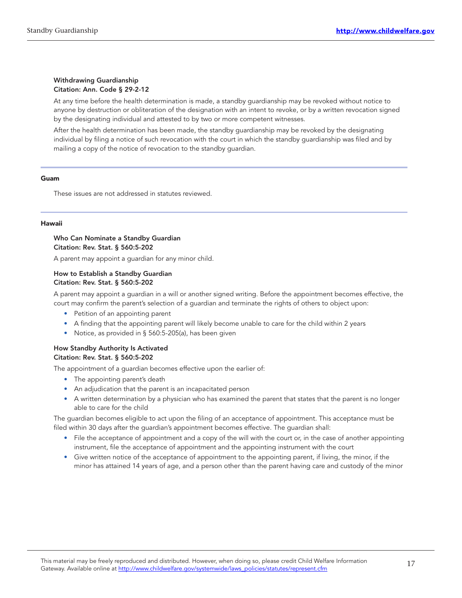#### Withdrawing Guardianship Citation: Ann. Code § 29-2-12

At any time before the health determination is made, a standby guardianship may be revoked without notice to anyone by destruction or obliteration of the designation with an intent to revoke, or by a written revocation signed by the designating individual and attested to by two or more competent witnesses.

After the health determination has been made, the standby guardianship may be revoked by the designating individual by filing a notice of such revocation with the court in which the standby guardianship was filed and by mailing a copy of the notice of revocation to the standby guardian.

#### Guam

These issues are not addressed in statutes reviewed.

#### Hawaii

#### Who Can Nominate a Standby Guardian Citation: Rev. Stat. § 560:5-202

A parent may appoint a guardian for any minor child.

#### How to Establish a Standby Guardian Citation: Rev. Stat. § 560:5-202

A parent may appoint a guardian in a will or another signed writing. Before the appointment becomes effective, the court may confirm the parent's selection of a guardian and terminate the rights of others to object upon:

- Petition of an appointing parent
- A finding that the appointing parent will likely become unable to care for the child within 2 years
- Notice, as provided in § 560:5-205(a), has been given

#### How Standby Authority Is Activated Citation: Rev. Stat. § 560:5-202

The appointment of a guardian becomes effective upon the earlier of:

- The appointing parent's death
- An adjudication that the parent is an incapacitated person
- A written determination by a physician who has examined the parent that states that the parent is no longer able to care for the child

The guardian becomes eligible to act upon the filing of an acceptance of appointment. This acceptance must be filed within 30 days after the guardian's appointment becomes effective. The guardian shall:

- File the acceptance of appointment and a copy of the will with the court or, in the case of another appointing instrument, file the acceptance of appointment and the appointing instrument with the court
- Give written notice of the acceptance of appointment to the appointing parent, if living, the minor, if the minor has attained 14 years of age, and a person other than the parent having care and custody of the minor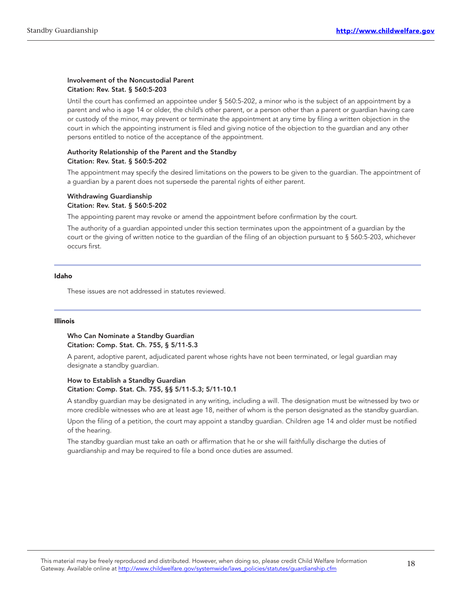#### Involvement of the Noncustodial Parent Citation: Rev. Stat. § 560:5-203

Until the court has confirmed an appointee under § 560:5‑202, a minor who is the subject of an appointment by a parent and who is age 14 or older, the child's other parent, or a person other than a parent or guardian having care or custody of the minor, may prevent or terminate the appointment at any time by filing a written objection in the court in which the appointing instrument is filed and giving notice of the objection to the guardian and any other persons entitled to notice of the acceptance of the appointment.

#### Authority Relationship of the Parent and the Standby Citation: Rev. Stat. § 560:5-202

The appointment may specify the desired limitations on the powers to be given to the guardian. The appointment of a guardian by a parent does not supersede the parental rights of either parent.

#### Withdrawing Guardianship Citation: Rev. Stat. § 560:5-202

The appointing parent may revoke or amend the appointment before confirmation by the court.

The authority of a guardian appointed under this section terminates upon the appointment of a guardian by the court or the giving of written notice to the guardian of the filing of an objection pursuant to § 560:5-203, whichever occurs first.

#### Idaho

These issues are not addressed in statutes reviewed.

#### Illinois

#### Who Can Nominate a Standby Guardian Citation: Comp. Stat. Ch. 755, § 5/11-5.3

A parent, adoptive parent, adjudicated parent whose rights have not been terminated, or legal guardian may designate a standby guardian.

#### How to Establish a Standby Guardian Citation: Comp. Stat. Ch. 755, §§ 5/11-5.3; 5/11-10.1

A standby guardian may be designated in any writing, including a will. The designation must be witnessed by two or more credible witnesses who are at least age 18, neither of whom is the person designated as the standby guardian.

Upon the filing of a petition, the court may appoint a standby guardian. Children age 14 and older must be notified of the hearing.

The standby guardian must take an oath or affirmation that he or she will faithfully discharge the duties of guardianship and may be required to file a bond once duties are assumed.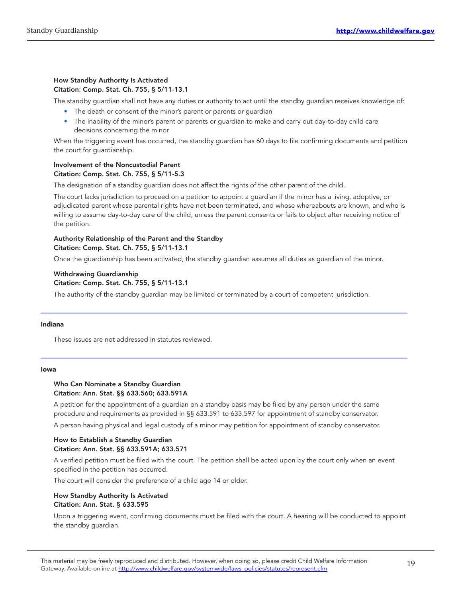#### How Standby Authority Is Activated Citation: Comp. Stat. Ch. 755, § 5/11-13.1

The standby guardian shall not have any duties or authority to act until the standby guardian receives knowledge of:

- The death or consent of the minor's parent or parents or quardian
- The inability of the minor's parent or parents or guardian to make and carry out day-to-day child care decisions concerning the minor

When the triggering event has occurred, the standby guardian has 60 days to file confirming documents and petition the court for guardianship.

#### Involvement of the Noncustodial Parent Citation: Comp. Stat. Ch. 755, § 5/11-5.3

The designation of a standby guardian does not affect the rights of the other parent of the child.

The court lacks jurisdiction to proceed on a petition to appoint a guardian if the minor has a living, adoptive, or adjudicated parent whose parental rights have not been terminated, and whose whereabouts are known, and who is willing to assume day-to-day care of the child, unless the parent consents or fails to object after receiving notice of the petition.

#### Authority Relationship of the Parent and the Standby Citation: Comp. Stat. Ch. 755, § 5/11-13.1

Once the guardianship has been activated, the standby guardian assumes all duties as guardian of the minor.

#### Withdrawing Guardianship Citation: Comp. Stat. Ch. 755, § 5/11-13.1

The authority of the standby guardian may be limited or terminated by a court of competent jurisdiction.

#### Indiana

These issues are not addressed in statutes reviewed.

#### Iowa

#### Who Can Nominate a Standby Guardian Citation: Ann. Stat. §§ 633.560; 633.591A

A petition for the appointment of a guardian on a standby basis may be filed by any person under the same procedure and requirements as provided in §§ 633.591 to 633.597 for appointment of standby conservator.

A person having physical and legal custody of a minor may petition for appointment of standby conservator.

#### How to Establish a Standby Guardian Citation: Ann. Stat. §§ 633.591A; 633.571

A verified petition must be filed with the court. The petition shall be acted upon by the court only when an event specified in the petition has occurred.

The court will consider the preference of a child age 14 or older.

#### How Standby Authority Is Activated Citation: Ann. Stat. § 633.595

Upon a triggering event, confirming documents must be filed with the court. A hearing will be conducted to appoint the standby guardian.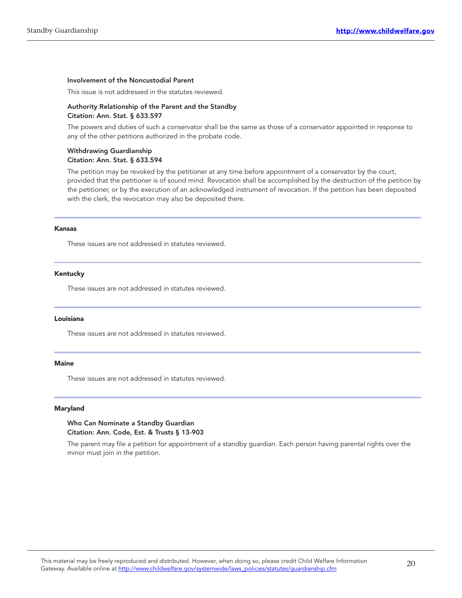#### Involvement of the Noncustodial Parent

This issue is not addressed in the statutes reviewed.

#### Authority Relationship of the Parent and the Standby Citation: Ann. Stat. § 633.597

The powers and duties of such a conservator shall be the same as those of a conservator appointed in response to any of the other petitions authorized in the probate code.

#### Withdrawing Guardianship Citation: Ann. Stat. § 633.594

The petition may be revoked by the petitioner at any time before appointment of a conservator by the court, provided that the petitioner is of sound mind. Revocation shall be accomplished by the destruction of the petition by the petitioner, or by the execution of an acknowledged instrument of revocation. If the petition has been deposited with the clerk, the revocation may also be deposited there.

#### Kansas

These issues are not addressed in statutes reviewed.

#### Kentucky

These issues are not addressed in statutes reviewed.

#### Louisiana

These issues are not addressed in statutes reviewed.

#### Maine

These issues are not addressed in statutes reviewed.

#### Maryland

#### Who Can Nominate a Standby Guardian Citation: Ann. Code, Est. & Trusts § 13-903

The parent may file a petition for appointment of a standby guardian. Each person having parental rights over the minor must join in the petition.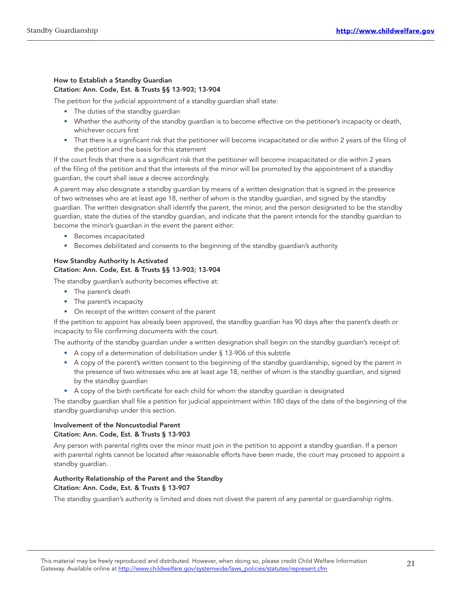#### How to Establish a Standby Guardian Citation: Ann. Code, Est. & Trusts §§ 13-903; 13-904

The petition for the judicial appointment of a standby guardian shall state:

- The duties of the standby quardian
- Whether the authority of the standby guardian is to become effective on the petitioner's incapacity or death, whichever occurs first
- That there is a significant risk that the petitioner will become incapacitated or die within 2 years of the filing of the petition and the basis for this statement

If the court finds that there is a significant risk that the petitioner will become incapacitated or die within 2 years of the filing of the petition and that the interests of the minor will be promoted by the appointment of a standby guardian, the court shall issue a decree accordingly.

A parent may also designate a standby guardian by means of a written designation that is signed in the presence of two witnesses who are at least age 18, neither of whom is the standby guardian, and signed by the standby guardian. The written designation shall identify the parent, the minor, and the person designated to be the standby guardian, state the duties of the standby guardian, and indicate that the parent intends for the standby guardian to become the minor's guardian in the event the parent either:

- Becomes incapacitated
- Becomes debilitated and consents to the beginning of the standby guardian's authority

#### How Standby Authority Is Activated Citation: Ann. Code, Est. & Trusts §§ 13-903; 13-904

The standby guardian's authority becomes effective at:

- The parent's death
- The parent's incapacity
- On receipt of the written consent of the parent

If the petition to appoint has already been approved, the standby guardian has 90 days after the parent's death or incapacity to file confirming documents with the court.

The authority of the standby guardian under a written designation shall begin on the standby guardian's receipt of:

- A copy of a determination of debilitation under § 13-906 of this subtitle
- A copy of the parent's written consent to the beginning of the standby guardianship, signed by the parent in the presence of two witnesses who are at least age 18, neither of whom is the standby guardian, and signed by the standby guardian
- A copy of the birth certificate for each child for whom the standby guardian is designated

The standby guardian shall file a petition for judicial appointment within 180 days of the date of the beginning of the standby guardianship under this section.

#### Involvement of the Noncustodial Parent Citation: Ann. Code, Est. & Trusts § 13-903

Any person with parental rights over the minor must join in the petition to appoint a standby guardian. If a person with parental rights cannot be located after reasonable efforts have been made, the court may proceed to appoint a standby guardian.

#### Authority Relationship of the Parent and the Standby Citation: Ann. Code, Est. & Trusts § 13-907

The standby guardian's authority is limited and does not divest the parent of any parental or guardianship rights.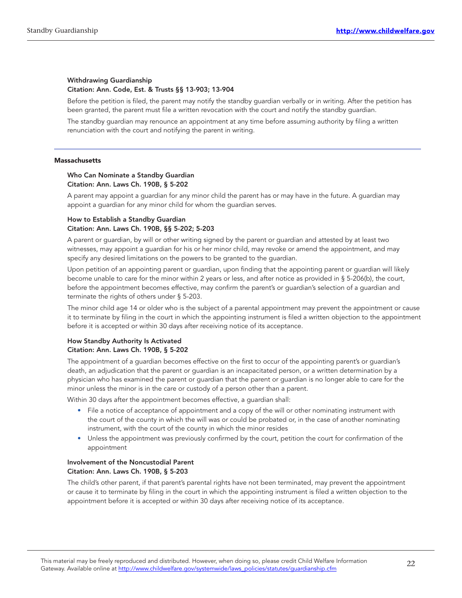#### Withdrawing Guardianship Citation: Ann. Code, Est. & Trusts §§ 13-903; 13-904

Before the petition is filed, the parent may notify the standby guardian verbally or in writing. After the petition has been granted, the parent must file a written revocation with the court and notify the standby guardian.

The standby guardian may renounce an appointment at any time before assuming authority by filing a written renunciation with the court and notifying the parent in writing.

#### **Massachusetts**

#### Who Can Nominate a Standby Guardian Citation: Ann. Laws Ch. 190B, § 5-202

A parent may appoint a guardian for any minor child the parent has or may have in the future. A guardian may appoint a guardian for any minor child for whom the guardian serves.

#### How to Establish a Standby Guardian Citation: Ann. Laws Ch. 190B, §§ 5-202; 5-203

A parent or guardian, by will or other writing signed by the parent or guardian and attested by at least two witnesses, may appoint a guardian for his or her minor child, may revoke or amend the appointment, and may specify any desired limitations on the powers to be granted to the guardian.

Upon petition of an appointing parent or guardian, upon finding that the appointing parent or guardian will likely become unable to care for the minor within 2 years or less, and after notice as provided in § 5-206(b), the court, before the appointment becomes effective, may confirm the parent's or guardian's selection of a guardian and terminate the rights of others under § 5‑203.

The minor child age 14 or older who is the subject of a parental appointment may prevent the appointment or cause it to terminate by filing in the court in which the appointing instrument is filed a written objection to the appointment before it is accepted or within 30 days after receiving notice of its acceptance.

#### How Standby Authority Is Activated Citation: Ann. Laws Ch. 190B, § 5-202

The appointment of a guardian becomes effective on the first to occur of the appointing parent's or guardian's death, an adjudication that the parent or guardian is an incapacitated person, or a written determination by a physician who has examined the parent or guardian that the parent or guardian is no longer able to care for the minor unless the minor is in the care or custody of a person other than a parent.

Within 30 days after the appointment becomes effective, a guardian shall:

- File a notice of acceptance of appointment and a copy of the will or other nominating instrument with the court of the county in which the will was or could be probated or, in the case of another nominating instrument, with the court of the county in which the minor resides
- Unless the appointment was previously confirmed by the court, petition the court for confirmation of the appointment

#### Involvement of the Noncustodial Parent Citation: Ann. Laws Ch. 190B, § 5-203

The child's other parent, if that parent's parental rights have not been terminated, may prevent the appointment or cause it to terminate by filing in the court in which the appointing instrument is filed a written objection to the appointment before it is accepted or within 30 days after receiving notice of its acceptance.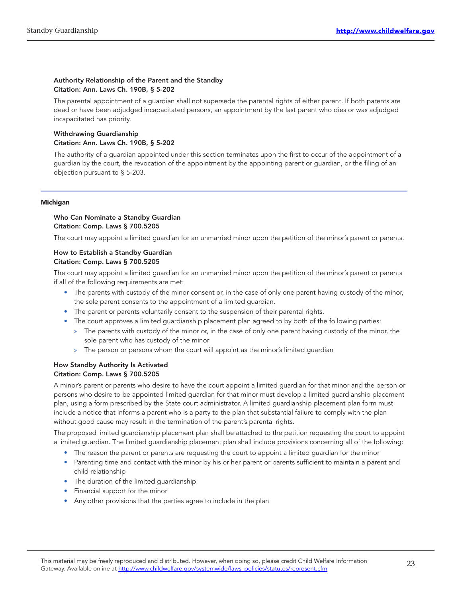#### Authority Relationship of the Parent and the Standby Citation: Ann. Laws Ch. 190B, § 5-202

The parental appointment of a guardian shall not supersede the parental rights of either parent. If both parents are dead or have been adjudged incapacitated persons, an appointment by the last parent who dies or was adjudged incapacitated has priority.

#### Withdrawing Guardianship Citation: Ann. Laws Ch. 190B, § 5-202

The authority of a guardian appointed under this section terminates upon the first to occur of the appointment of a guardian by the court, the revocation of the appointment by the appointing parent or guardian, or the filing of an objection pursuant to § 5‑203.

#### Michigan

#### Who Can Nominate a Standby Guardian Citation: Comp. Laws § 700.5205

The court may appoint a limited guardian for an unmarried minor upon the petition of the minor's parent or parents.

#### How to Establish a Standby Guardian Citation: Comp. Laws § 700.5205

The court may appoint a limited guardian for an unmarried minor upon the petition of the minor's parent or parents if all of the following requirements are met:

- The parents with custody of the minor consent or, in the case of only one parent having custody of the minor, the sole parent consents to the appointment of a limited guardian.
- The parent or parents voluntarily consent to the suspension of their parental rights.
- The court approves a limited guardianship placement plan agreed to by both of the following parties:
	- » The parents with custody of the minor or, in the case of only one parent having custody of the minor, the sole parent who has custody of the minor
	- The person or persons whom the court will appoint as the minor's limited guardian

#### How Standby Authority Is Activated Citation: Comp. Laws § 700.5205

A minor's parent or parents who desire to have the court appoint a limited guardian for that minor and the person or persons who desire to be appointed limited guardian for that minor must develop a limited guardianship placement plan, using a form prescribed by the State court administrator. A limited guardianship placement plan form must include a notice that informs a parent who is a party to the plan that substantial failure to comply with the plan without good cause may result in the termination of the parent's parental rights.

The proposed limited guardianship placement plan shall be attached to the petition requesting the court to appoint a limited guardian. The limited guardianship placement plan shall include provisions concerning all of the following:

- The reason the parent or parents are requesting the court to appoint a limited guardian for the minor
- Parenting time and contact with the minor by his or her parent or parents sufficient to maintain a parent and child relationship
- The duration of the limited guardianship
- Financial support for the minor
- Any other provisions that the parties agree to include in the plan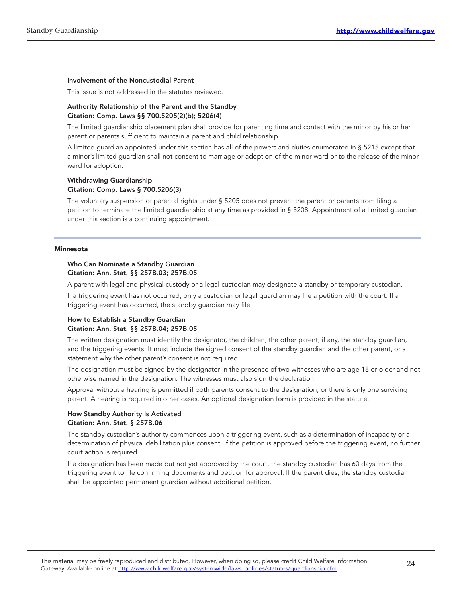#### Involvement of the Noncustodial Parent

This issue is not addressed in the statutes reviewed.

#### Authority Relationship of the Parent and the Standby Citation: Comp. Laws §§ 700.5205(2)(b); 5206(4)

The limited guardianship placement plan shall provide for parenting time and contact with the minor by his or her parent or parents sufficient to maintain a parent and child relationship.

A limited guardian appointed under this section has all of the powers and duties enumerated in § 5215 except that a minor's limited guardian shall not consent to marriage or adoption of the minor ward or to the release of the minor ward for adoption.

#### Withdrawing Guardianship Citation: Comp. Laws § 700.5206(3)

The voluntary suspension of parental rights under § 5205 does not prevent the parent or parents from filing a petition to terminate the limited guardianship at any time as provided in § 5208. Appointment of a limited guardian under this section is a continuing appointment.

#### Minnesota

#### Who Can Nominate a Standby Guardian Citation: Ann. Stat. §§ 257B.03; 257B.05

A parent with legal and physical custody or a legal custodian may designate a standby or temporary custodian.

If a triggering event has not occurred, only a custodian or legal guardian may file a petition with the court. If a triggering event has occurred, the standby guardian may file.

#### How to Establish a Standby Guardian Citation: Ann. Stat. §§ 257B.04; 257B.05

The written designation must identify the designator, the children, the other parent, if any, the standby guardian, and the triggering events. It must include the signed consent of the standby guardian and the other parent, or a statement why the other parent's consent is not required.

The designation must be signed by the designator in the presence of two witnesses who are age 18 or older and not otherwise named in the designation. The witnesses must also sign the declaration.

Approval without a hearing is permitted if both parents consent to the designation, or there is only one surviving parent. A hearing is required in other cases. An optional designation form is provided in the statute.

#### How Standby Authority Is Activated Citation: Ann. Stat. § 257B.06

The standby custodian's authority commences upon a triggering event, such as a determination of incapacity or a determination of physical debilitation plus consent. If the petition is approved before the triggering event, no further court action is required.

If a designation has been made but not yet approved by the court, the standby custodian has 60 days from the triggering event to file confirming documents and petition for approval. If the parent dies, the standby custodian shall be appointed permanent guardian without additional petition.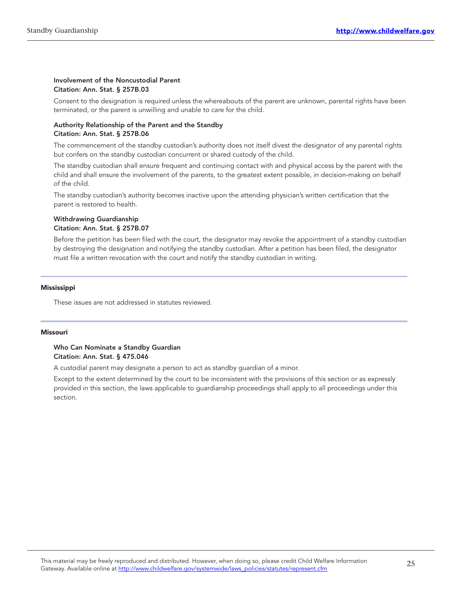#### Involvement of the Noncustodial Parent Citation: Ann. Stat. § 257B.03

Consent to the designation is required unless the whereabouts of the parent are unknown, parental rights have been terminated, or the parent is unwilling and unable to care for the child.

#### Authority Relationship of the Parent and the Standby Citation: Ann. Stat. § 257B.06

The commencement of the standby custodian's authority does not itself divest the designator of any parental rights but confers on the standby custodian concurrent or shared custody of the child.

The standby custodian shall ensure frequent and continuing contact with and physical access by the parent with the child and shall ensure the involvement of the parents, to the greatest extent possible, in decision‑making on behalf of the child.

The standby custodian's authority becomes inactive upon the attending physician's written certification that the parent is restored to health.

#### Withdrawing Guardianship Citation: Ann. Stat. § 257B.07

Before the petition has been filed with the court, the designator may revoke the appointment of a standby custodian by destroying the designation and notifying the standby custodian. After a petition has been filed, the designator must file a written revocation with the court and notify the standby custodian in writing.

#### Mississippi

These issues are not addressed in statutes reviewed.

#### Missouri

#### Who Can Nominate a Standby Guardian Citation: Ann. Stat. § 475.046

A custodial parent may designate a person to act as standby guardian of a minor.

Except to the extent determined by the court to be inconsistent with the provisions of this section or as expressly provided in this section, the laws applicable to guardianship proceedings shall apply to all proceedings under this section.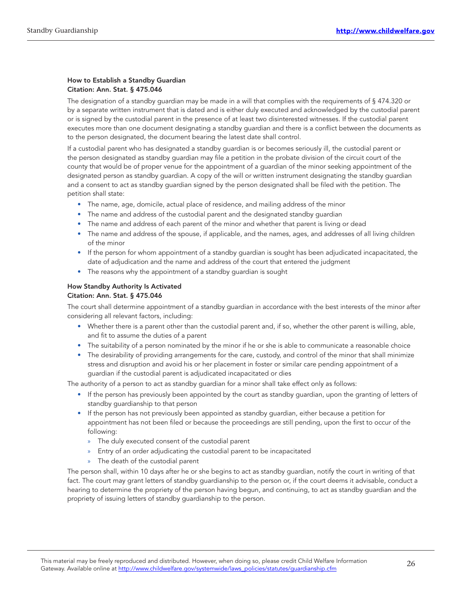#### How to Establish a Standby Guardian Citation: Ann. Stat. § 475.046

The designation of a standby guardian may be made in a will that complies with the requirements of § 474.320 or by a separate written instrument that is dated and is either duly executed and acknowledged by the custodial parent or is signed by the custodial parent in the presence of at least two disinterested witnesses. If the custodial parent executes more than one document designating a standby guardian and there is a conflict between the documents as to the person designated, the document bearing the latest date shall control.

If a custodial parent who has designated a standby guardian is or becomes seriously ill, the custodial parent or the person designated as standby guardian may file a petition in the probate division of the circuit court of the county that would be of proper venue for the appointment of a guardian of the minor seeking appointment of the designated person as standby guardian. A copy of the will or written instrument designating the standby guardian and a consent to act as standby guardian signed by the person designated shall be filed with the petition. The petition shall state:

- The name, age, domicile, actual place of residence, and mailing address of the minor
- The name and address of the custodial parent and the designated standby guardian
- The name and address of each parent of the minor and whether that parent is living or dead
- The name and address of the spouse, if applicable, and the names, ages, and addresses of all living children of the minor
- If the person for whom appointment of a standby guardian is sought has been adjudicated incapacitated, the date of adjudication and the name and address of the court that entered the judgment
- The reasons why the appointment of a standby guardian is sought

#### How Standby Authority Is Activated Citation: Ann. Stat. § 475.046

The court shall determine appointment of a standby guardian in accordance with the best interests of the minor after considering all relevant factors, including:

- Whether there is a parent other than the custodial parent and, if so, whether the other parent is willing, able, and fit to assume the duties of a parent
- The suitability of a person nominated by the minor if he or she is able to communicate a reasonable choice
- The desirability of providing arrangements for the care, custody, and control of the minor that shall minimize stress and disruption and avoid his or her placement in foster or similar care pending appointment of a guardian if the custodial parent is adjudicated incapacitated or dies

The authority of a person to act as standby guardian for a minor shall take effect only as follows:

- If the person has previously been appointed by the court as standby guardian, upon the granting of letters of standby guardianship to that person
- If the person has not previously been appointed as standby guardian, either because a petition for appointment has not been filed or because the proceedings are still pending, upon the first to occur of the following:
	- » The duly executed consent of the custodial parent
	- » Entry of an order adjudicating the custodial parent to be incapacitated
	- » The death of the custodial parent

The person shall, within 10 days after he or she begins to act as standby guardian, notify the court in writing of that fact. The court may grant letters of standby guardianship to the person or, if the court deems it advisable, conduct a hearing to determine the propriety of the person having begun, and continuing, to act as standby guardian and the propriety of issuing letters of standby guardianship to the person.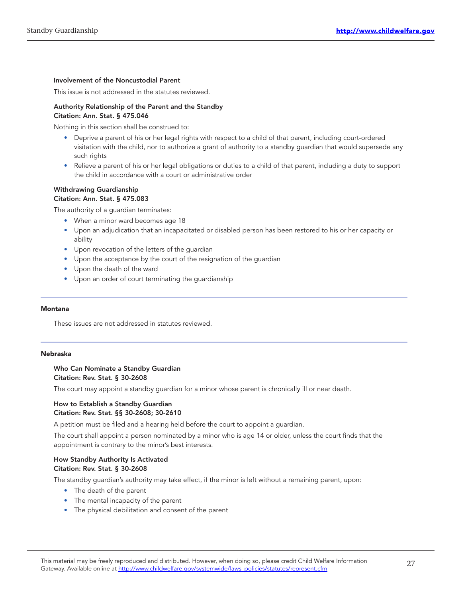#### Involvement of the Noncustodial Parent

This issue is not addressed in the statutes reviewed.

#### Authority Relationship of the Parent and the Standby Citation: Ann. Stat. § 475.046

Nothing in this section shall be construed to:

- Deprive a parent of his or her legal rights with respect to a child of that parent, including court-ordered visitation with the child, nor to authorize a grant of authority to a standby guardian that would supersede any such rights
- Relieve a parent of his or her legal obligations or duties to a child of that parent, including a duty to support the child in accordance with a court or administrative order

#### Withdrawing Guardianship Citation: Ann. Stat. § 475.083

The authority of a guardian terminates:

- When a minor ward becomes age 18
- Upon an adjudication that an incapacitated or disabled person has been restored to his or her capacity or ability
- Upon revocation of the letters of the guardian
- Upon the acceptance by the court of the resignation of the guardian
- Upon the death of the ward
- Upon an order of court terminating the guardianship

#### Montana

These issues are not addressed in statutes reviewed.

#### Nebraska

#### Who Can Nominate a Standby Guardian Citation: Rev. Stat. § 30-2608

The court may appoint a standby guardian for a minor whose parent is chronically ill or near death.

#### How to Establish a Standby Guardian Citation: Rev. Stat. §§ 30-2608; 30-2610

A petition must be filed and a hearing held before the court to appoint a guardian.

The court shall appoint a person nominated by a minor who is age 14 or older, unless the court finds that the appointment is contrary to the minor's best interests.

#### How Standby Authority Is Activated Citation: Rev. Stat. § 30-2608

The standby guardian's authority may take effect, if the minor is left without a remaining parent, upon:

- The death of the parent
- The mental incapacity of the parent
- The physical debilitation and consent of the parent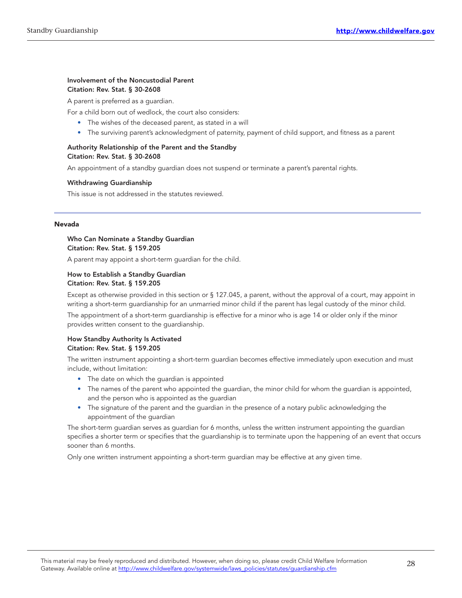#### Involvement of the Noncustodial Parent Citation: Rev. Stat. § 30-2608

A parent is preferred as a guardian.

For a child born out of wedlock, the court also considers:

- The wishes of the deceased parent, as stated in a will
- The surviving parent's acknowledgment of paternity, payment of child support, and fitness as a parent

#### Authority Relationship of the Parent and the Standby Citation: Rev. Stat. § 30-2608

An appointment of a standby guardian does not suspend or terminate a parent's parental rights.

#### Withdrawing Guardianship

This issue is not addressed in the statutes reviewed.

#### Nevada

#### Who Can Nominate a Standby Guardian Citation: Rev. Stat. § 159.205

A parent may appoint a short-term guardian for the child.

#### How to Establish a Standby Guardian Citation: Rev. Stat. § 159.205

Except as otherwise provided in this section or § 127.045, a parent, without the approval of a court, may appoint in writing a short-term guardianship for an unmarried minor child if the parent has legal custody of the minor child.

The appointment of a short‑term guardianship is effective for a minor who is age 14 or older only if the minor provides written consent to the guardianship.

#### How Standby Authority Is Activated Citation: Rev. Stat. § 159.205

The written instrument appointing a short-term guardian becomes effective immediately upon execution and must include, without limitation:

- The date on which the guardian is appointed
- The names of the parent who appointed the guardian, the minor child for whom the guardian is appointed, and the person who is appointed as the guardian
- The signature of the parent and the guardian in the presence of a notary public acknowledging the appointment of the guardian

The short-term guardian serves as guardian for 6 months, unless the written instrument appointing the guardian specifies a shorter term or specifies that the guardianship is to terminate upon the happening of an event that occurs sooner than 6 months.

Only one written instrument appointing a short-term guardian may be effective at any given time.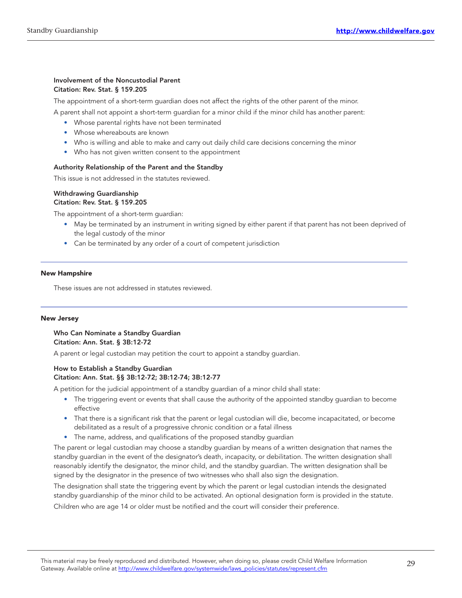#### Involvement of the Noncustodial Parent Citation: Rev. Stat. § 159.205

The appointment of a short-term quardian does not affect the rights of the other parent of the minor.

A parent shall not appoint a short-term guardian for a minor child if the minor child has another parent:

- Whose parental rights have not been terminated
- Whose whereabouts are known
- Who is willing and able to make and carry out daily child care decisions concerning the minor
- Who has not given written consent to the appointment

#### Authority Relationship of the Parent and the Standby

This issue is not addressed in the statutes reviewed.

#### Withdrawing Guardianship Citation: Rev. Stat. § 159.205

The appointment of a short-term guardian:

- May be terminated by an instrument in writing signed by either parent if that parent has not been deprived of the legal custody of the minor
- Can be terminated by any order of a court of competent jurisdiction

#### New Hampshire

These issues are not addressed in statutes reviewed.

#### New Jersey

#### Who Can Nominate a Standby Guardian Citation: Ann. Stat. § 3B:12-72

A parent or legal custodian may petition the court to appoint a standby guardian.

#### How to Establish a Standby Guardian Citation: Ann. Stat. §§ 3B:12-72; 3B:12-74; 3B:12-77

A petition for the judicial appointment of a standby guardian of a minor child shall state:

- The triggering event or events that shall cause the authority of the appointed standby guardian to become effective
- That there is a significant risk that the parent or legal custodian will die, become incapacitated, or become debilitated as a result of a progressive chronic condition or a fatal illness
- The name, address, and qualifications of the proposed standby guardian

The parent or legal custodian may choose a standby guardian by means of a written designation that names the standby guardian in the event of the designator's death, incapacity, or debilitation. The written designation shall reasonably identify the designator, the minor child, and the standby guardian. The written designation shall be signed by the designator in the presence of two witnesses who shall also sign the designation.

The designation shall state the triggering event by which the parent or legal custodian intends the designated standby guardianship of the minor child to be activated. An optional designation form is provided in the statute.

Children who are age 14 or older must be notified and the court will consider their preference.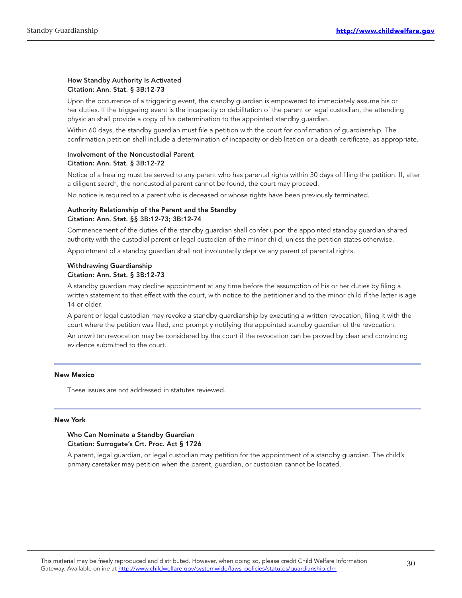#### How Standby Authority Is Activated Citation: Ann. Stat. § 3B:12-73

Upon the occurrence of a triggering event, the standby guardian is empowered to immediately assume his or her duties. If the triggering event is the incapacity or debilitation of the parent or legal custodian, the attending physician shall provide a copy of his determination to the appointed standby guardian.

Within 60 days, the standby guardian must file a petition with the court for confirmation of guardianship. The confirmation petition shall include a determination of incapacity or debilitation or a death certificate, as appropriate.

#### Involvement of the Noncustodial Parent Citation: Ann. Stat. § 3B:12-72

Notice of a hearing must be served to any parent who has parental rights within 30 days of filing the petition. If, after a diligent search, the noncustodial parent cannot be found, the court may proceed.

No notice is required to a parent who is deceased or whose rights have been previously terminated.

#### Authority Relationship of the Parent and the Standby Citation: Ann. Stat. §§ 3B:12-73; 3B:12-74

Commencement of the duties of the standby guardian shall confer upon the appointed standby guardian shared authority with the custodial parent or legal custodian of the minor child, unless the petition states otherwise.

Appointment of a standby guardian shall not involuntarily deprive any parent of parental rights.

#### Withdrawing Guardianship Citation: Ann. Stat. § 3B:12-73

A standby guardian may decline appointment at any time before the assumption of his or her duties by filing a written statement to that effect with the court, with notice to the petitioner and to the minor child if the latter is age 14 or older.

A parent or legal custodian may revoke a standby guardianship by executing a written revocation, filing it with the court where the petition was filed, and promptly notifying the appointed standby guardian of the revocation.

An unwritten revocation may be considered by the court if the revocation can be proved by clear and convincing evidence submitted to the court.

#### New Mexico

These issues are not addressed in statutes reviewed.

#### New York

#### Who Can Nominate a Standby Guardian Citation: Surrogate's Crt. Proc. Act § 1726

A parent, legal guardian, or legal custodian may petition for the appointment of a standby guardian. The child's primary caretaker may petition when the parent, guardian, or custodian cannot be located.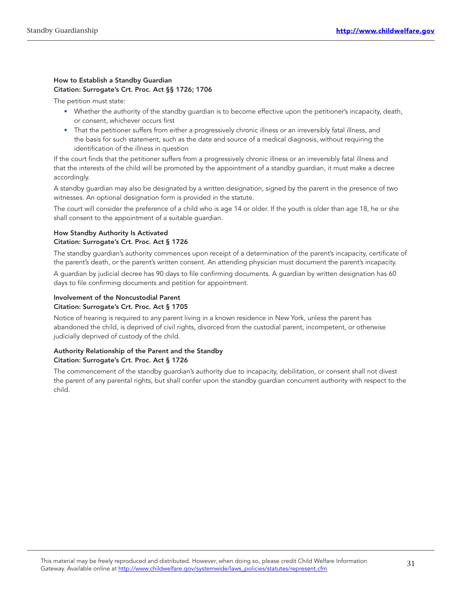#### How to Establish a Standby Guardian Citation: Surrogate's Crt. Proc. Act §§ 1726; 1706

The petition must state:

- Whether the authority of the standby guardian is to become effective upon the petitioner's incapacity, death, or consent, whichever occurs first
- That the petitioner suffers from either a progressively chronic illness or an irreversibly fatal illness, and the basis for such statement, such as the date and source of a medical diagnosis, without requiring the identification of the illness in question

If the court finds that the petitioner suffers from a progressively chronic illness or an irreversibly fatal illness and that the interests of the child will be promoted by the appointment of a standby guardian, it must make a decree accordingly.

A standby guardian may also be designated by a written designation, signed by the parent in the presence of two witnesses. An optional designation form is provided in the statute.

The court will consider the preference of a child who is age 14 or older. If the youth is older than age 18, he or she shall consent to the appointment of a suitable guardian.

#### How Standby Authority Is Activated Citation: Surrogate's Crt. Proc. Act § 1726

The standby guardian's authority commences upon receipt of a determination of the parent's incapacity, certificate of the parent's death, or the parent's written consent. An attending physician must document the parent's incapacity.

A guardian by judicial decree has 90 days to file confirming documents. A guardian by written designation has 60 days to file confirming documents and petition for appointment.

#### Involvement of the Noncustodial Parent Citation: Surrogate's Crt. Proc. Act § 1705

Notice of hearing is required to any parent living in a known residence in New York, unless the parent has abandoned the child, is deprived of civil rights, divorced from the custodial parent, incompetent, or otherwise judicially deprived of custody of the child.

#### Authority Relationship of the Parent and the Standby Citation: Surrogate's Crt. Proc. Act § 1726

The commencement of the standby guardian's authority due to incapacity, debilitation, or consent shall not divest the parent of any parental rights, but shall confer upon the standby guardian concurrent authority with respect to the child.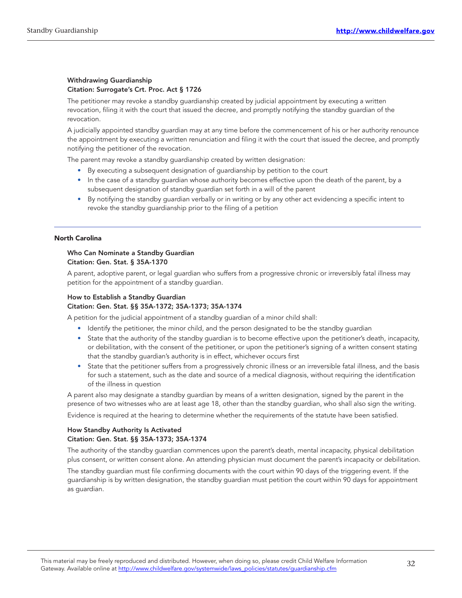#### Withdrawing Guardianship Citation: Surrogate's Crt. Proc. Act § 1726

The petitioner may revoke a standby guardianship created by judicial appointment by executing a written revocation, filing it with the court that issued the decree, and promptly notifying the standby guardian of the revocation.

A judicially appointed standby guardian may at any time before the commencement of his or her authority renounce the appointment by executing a written renunciation and filing it with the court that issued the decree, and promptly notifying the petitioner of the revocation.

The parent may revoke a standby guardianship created by written designation:

- By executing a subsequent designation of guardianship by petition to the court
- In the case of a standby guardian whose authority becomes effective upon the death of the parent, by a subsequent designation of standby guardian set forth in a will of the parent
- By notifying the standby guardian verbally or in writing or by any other act evidencing a specific intent to revoke the standby guardianship prior to the filing of a petition

#### North Carolina

#### Who Can Nominate a Standby Guardian Citation: Gen. Stat. § 35A-1370

A parent, adoptive parent, or legal guardian who suffers from a progressive chronic or irreversibly fatal illness may petition for the appointment of a standby guardian.

#### How to Establish a Standby Guardian Citation: Gen. Stat. §§ 35A-1372; 35A-1373; 35A-1374

A petition for the judicial appointment of a standby guardian of a minor child shall:

- Identify the petitioner, the minor child, and the person designated to be the standby guardian
- State that the authority of the standby guardian is to become effective upon the petitioner's death, incapacity, or debilitation, with the consent of the petitioner, or upon the petitioner's signing of a written consent stating that the standby guardian's authority is in effect, whichever occurs first
- State that the petitioner suffers from a progressively chronic illness or an irreversible fatal illness, and the basis for such a statement, such as the date and source of a medical diagnosis, without requiring the identification of the illness in question

A parent also may designate a standby guardian by means of a written designation, signed by the parent in the presence of two witnesses who are at least age 18, other than the standby guardian, who shall also sign the writing.

Evidence is required at the hearing to determine whether the requirements of the statute have been satisfied.

#### How Standby Authority Is Activated Citation: Gen. Stat. §§ 35A-1373; 35A-1374

The authority of the standby guardian commences upon the parent's death, mental incapacity, physical debilitation plus consent, or written consent alone. An attending physician must document the parent's incapacity or debilitation.

The standby guardian must file confirming documents with the court within 90 days of the triggering event. If the guardianship is by written designation, the standby guardian must petition the court within 90 days for appointment as guardian.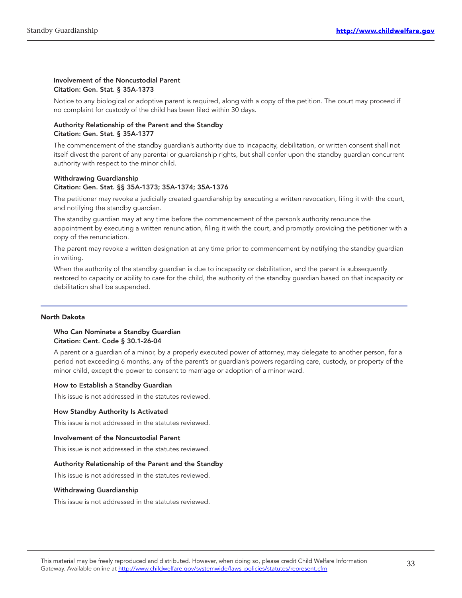#### Involvement of the Noncustodial Parent Citation: Gen. Stat. § 35A-1373

Notice to any biological or adoptive parent is required, along with a copy of the petition. The court may proceed if no complaint for custody of the child has been filed within 30 days.

#### Authority Relationship of the Parent and the Standby Citation: Gen. Stat. § 35A-1377

The commencement of the standby guardian's authority due to incapacity, debilitation, or written consent shall not itself divest the parent of any parental or guardianship rights, but shall confer upon the standby guardian concurrent authority with respect to the minor child.

#### Withdrawing Guardianship Citation: Gen. Stat. §§ 35A-1373; 35A-1374; 35A-1376

The petitioner may revoke a judicially created guardianship by executing a written revocation, filing it with the court, and notifying the standby guardian.

The standby guardian may at any time before the commencement of the person's authority renounce the appointment by executing a written renunciation, filing it with the court, and promptly providing the petitioner with a copy of the renunciation.

The parent may revoke a written designation at any time prior to commencement by notifying the standby guardian in writing.

When the authority of the standby guardian is due to incapacity or debilitation, and the parent is subsequently restored to capacity or ability to care for the child, the authority of the standby guardian based on that incapacity or debilitation shall be suspended.

#### North Dakota

#### Who Can Nominate a Standby Guardian Citation: Cent. Code § 30.1-26-04

A parent or a guardian of a minor, by a properly executed power of attorney, may delegate to another person, for a period not exceeding 6 months, any of the parent's or guardian's powers regarding care, custody, or property of the minor child, except the power to consent to marriage or adoption of a minor ward.

#### How to Establish a Standby Guardian

This issue is not addressed in the statutes reviewed.

#### How Standby Authority Is Activated

This issue is not addressed in the statutes reviewed.

#### Involvement of the Noncustodial Parent

This issue is not addressed in the statutes reviewed.

#### Authority Relationship of the Parent and the Standby

This issue is not addressed in the statutes reviewed.

#### Withdrawing Guardianship

This issue is not addressed in the statutes reviewed.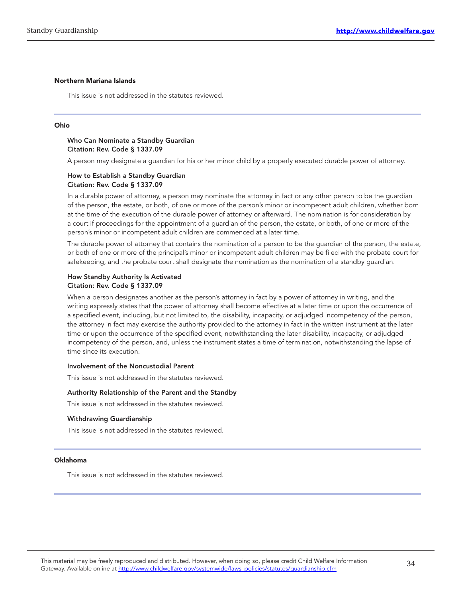#### Northern Mariana Islands

This issue is not addressed in the statutes reviewed.

#### Ohio

#### Who Can Nominate a Standby Guardian Citation: Rev. Code § 1337.09

A person may designate a guardian for his or her minor child by a properly executed durable power of attorney.

#### How to Establish a Standby Guardian Citation: Rev. Code § 1337.09

In a durable power of attorney, a person may nominate the attorney in fact or any other person to be the guardian of the person, the estate, or both, of one or more of the person's minor or incompetent adult children, whether born at the time of the execution of the durable power of attorney or afterward. The nomination is for consideration by a court if proceedings for the appointment of a guardian of the person, the estate, or both, of one or more of the person's minor or incompetent adult children are commenced at a later time.

The durable power of attorney that contains the nomination of a person to be the guardian of the person, the estate, or both of one or more of the principal's minor or incompetent adult children may be filed with the probate court for safekeeping, and the probate court shall designate the nomination as the nomination of a standby guardian.

#### How Standby Authority Is Activated Citation: Rev. Code § 1337.09

When a person designates another as the person's attorney in fact by a power of attorney in writing, and the writing expressly states that the power of attorney shall become effective at a later time or upon the occurrence of a specified event, including, but not limited to, the disability, incapacity, or adjudged incompetency of the person, the attorney in fact may exercise the authority provided to the attorney in fact in the written instrument at the later time or upon the occurrence of the specified event, notwithstanding the later disability, incapacity, or adjudged incompetency of the person, and, unless the instrument states a time of termination, notwithstanding the lapse of time since its execution.

#### Involvement of the Noncustodial Parent

This issue is not addressed in the statutes reviewed.

#### Authority Relationship of the Parent and the Standby

This issue is not addressed in the statutes reviewed.

#### Withdrawing Guardianship

This issue is not addressed in the statutes reviewed.

#### Oklahoma

This issue is not addressed in the statutes reviewed.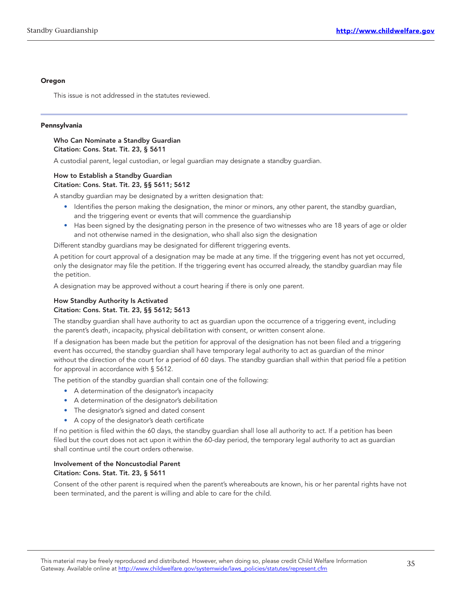#### Oregon

This issue is not addressed in the statutes reviewed.

#### Pennsylvania

#### Who Can Nominate a Standby Guardian Citation: Cons. Stat. Tit. 23, § 5611

A custodial parent, legal custodian, or legal guardian may designate a standby guardian.

#### How to Establish a Standby Guardian Citation: Cons. Stat. Tit. 23, §§ 5611; 5612

A standby guardian may be designated by a written designation that:

- Identifies the person making the designation, the minor or minors, any other parent, the standby guardian, and the triggering event or events that will commence the guardianship
- Has been signed by the designating person in the presence of two witnesses who are 18 years of age or older and not otherwise named in the designation, who shall also sign the designation

Different standby guardians may be designated for different triggering events.

A petition for court approval of a designation may be made at any time. If the triggering event has not yet occurred, only the designator may file the petition. If the triggering event has occurred already, the standby guardian may file the petition.

A designation may be approved without a court hearing if there is only one parent.

#### How Standby Authority Is Activated Citation: Cons. Stat. Tit. 23, §§ 5612; 5613

The standby guardian shall have authority to act as guardian upon the occurrence of a triggering event, including the parent's death, incapacity, physical debilitation with consent, or written consent alone.

If a designation has been made but the petition for approval of the designation has not been filed and a triggering event has occurred, the standby guardian shall have temporary legal authority to act as guardian of the minor without the direction of the court for a period of 60 days. The standby guardian shall within that period file a petition for approval in accordance with § 5612.

The petition of the standby guardian shall contain one of the following:

- A determination of the designator's incapacity
- A determination of the designator's debilitation
- The designator's signed and dated consent
- A copy of the designator's death certificate

If no petition is filed within the 60 days, the standby guardian shall lose all authority to act. If a petition has been filed but the court does not act upon it within the 60-day period, the temporary legal authority to act as guardian shall continue until the court orders otherwise.

#### Involvement of the Noncustodial Parent Citation: Cons. Stat. Tit. 23, § 5611

Consent of the other parent is required when the parent's whereabouts are known, his or her parental rights have not been terminated, and the parent is willing and able to care for the child.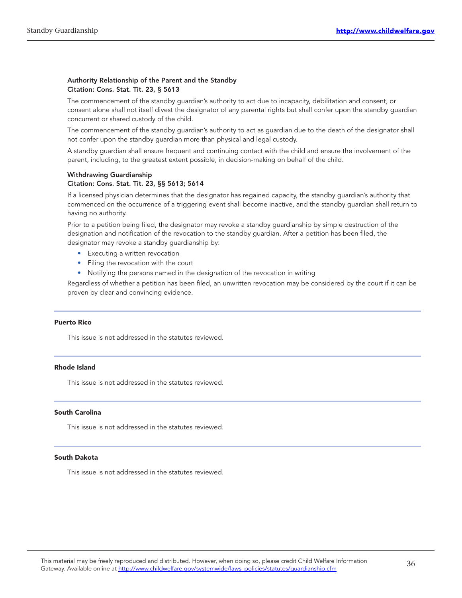#### Authority Relationship of the Parent and the Standby Citation: Cons. Stat. Tit. 23, § 5613

The commencement of the standby guardian's authority to act due to incapacity, debilitation and consent, or consent alone shall not itself divest the designator of any parental rights but shall confer upon the standby guardian concurrent or shared custody of the child.

The commencement of the standby guardian's authority to act as guardian due to the death of the designator shall not confer upon the standby guardian more than physical and legal custody.

A standby guardian shall ensure frequent and continuing contact with the child and ensure the involvement of the parent, including, to the greatest extent possible, in decision-making on behalf of the child.

### Withdrawing Guardianship

#### Citation: Cons. Stat. Tit. 23, §§ 5613; 5614

If a licensed physician determines that the designator has regained capacity, the standby guardian's authority that commenced on the occurrence of a triggering event shall become inactive, and the standby guardian shall return to having no authority.

Prior to a petition being filed, the designator may revoke a standby guardianship by simple destruction of the designation and notification of the revocation to the standby guardian. After a petition has been filed, the designator may revoke a standby guardianship by:

- Executing a written revocation
- Filing the revocation with the court
- Notifying the persons named in the designation of the revocation in writing

Regardless of whether a petition has been filed, an unwritten revocation may be considered by the court if it can be proven by clear and convincing evidence.

#### Puerto Rico

This issue is not addressed in the statutes reviewed.

#### Rhode Island

This issue is not addressed in the statutes reviewed.

#### South Carolina

This issue is not addressed in the statutes reviewed.

#### South Dakota

This issue is not addressed in the statutes reviewed.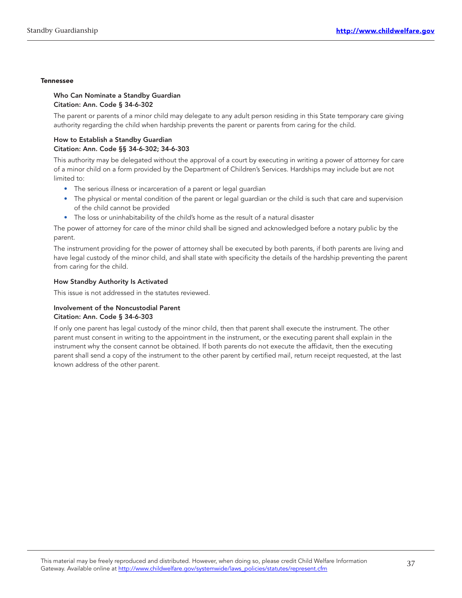#### **Tennessee**

#### Who Can Nominate a Standby Guardian Citation: Ann. Code § 34-6-302

The parent or parents of a minor child may delegate to any adult person residing in this State temporary care giving authority regarding the child when hardship prevents the parent or parents from caring for the child.

#### How to Establish a Standby Guardian Citation: Ann. Code §§ 34-6-302; 34-6-303

This authority may be delegated without the approval of a court by executing in writing a power of attorney for care of a minor child on a form provided by the Department of Children's Services. Hardships may include but are not limited to:

- The serious illness or incarceration of a parent or legal guardian
- The physical or mental condition of the parent or legal guardian or the child is such that care and supervision of the child cannot be provided
- The loss or uninhabitability of the child's home as the result of a natural disaster

The power of attorney for care of the minor child shall be signed and acknowledged before a notary public by the parent.

The instrument providing for the power of attorney shall be executed by both parents, if both parents are living and have legal custody of the minor child, and shall state with specificity the details of the hardship preventing the parent from caring for the child.

#### How Standby Authority Is Activated

This issue is not addressed in the statutes reviewed.

#### Involvement of the Noncustodial Parent Citation: Ann. Code § 34-6-303

If only one parent has legal custody of the minor child, then that parent shall execute the instrument. The other parent must consent in writing to the appointment in the instrument, or the executing parent shall explain in the instrument why the consent cannot be obtained. If both parents do not execute the affidavit, then the executing parent shall send a copy of the instrument to the other parent by certified mail, return receipt requested, at the last known address of the other parent.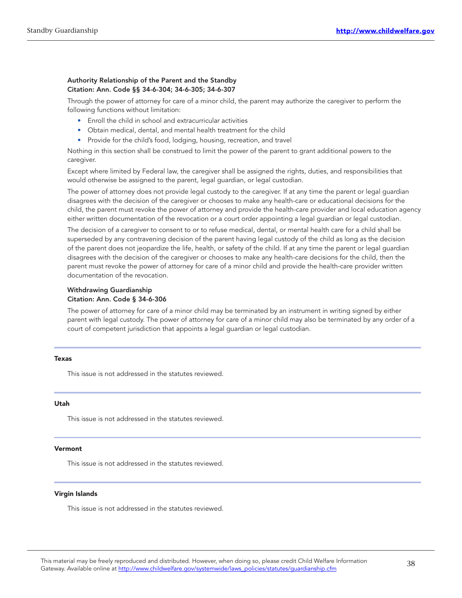#### Authority Relationship of the Parent and the Standby Citation: Ann. Code §§ 34-6-304; 34-6-305; 34-6-307

Through the power of attorney for care of a minor child, the parent may authorize the caregiver to perform the following functions without limitation:

- Enroll the child in school and extracurricular activities
- Obtain medical, dental, and mental health treatment for the child
- Provide for the child's food, lodging, housing, recreation, and travel

Nothing in this section shall be construed to limit the power of the parent to grant additional powers to the caregiver.

Except where limited by Federal law, the caregiver shall be assigned the rights, duties, and responsibilities that would otherwise be assigned to the parent, legal guardian, or legal custodian.

The power of attorney does not provide legal custody to the caregiver. If at any time the parent or legal guardian disagrees with the decision of the caregiver or chooses to make any health‑care or educational decisions for the child, the parent must revoke the power of attorney and provide the health-care provider and local education agency either written documentation of the revocation or a court order appointing a legal guardian or legal custodian.

The decision of a caregiver to consent to or to refuse medical, dental, or mental health care for a child shall be superseded by any contravening decision of the parent having legal custody of the child as long as the decision of the parent does not jeopardize the life, health, or safety of the child. If at any time the parent or legal guardian disagrees with the decision of the caregiver or chooses to make any health‑care decisions for the child, then the parent must revoke the power of attorney for care of a minor child and provide the health-care provider written documentation of the revocation.

#### Withdrawing Guardianship Citation: Ann. Code § 34-6-306

The power of attorney for care of a minor child may be terminated by an instrument in writing signed by either parent with legal custody. The power of attorney for care of a minor child may also be terminated by any order of a court of competent jurisdiction that appoints a legal guardian or legal custodian.

#### Texas

This issue is not addressed in the statutes reviewed.

#### Utah

This issue is not addressed in the statutes reviewed.

#### Vermont

This issue is not addressed in the statutes reviewed.

#### Virgin Islands

This issue is not addressed in the statutes reviewed.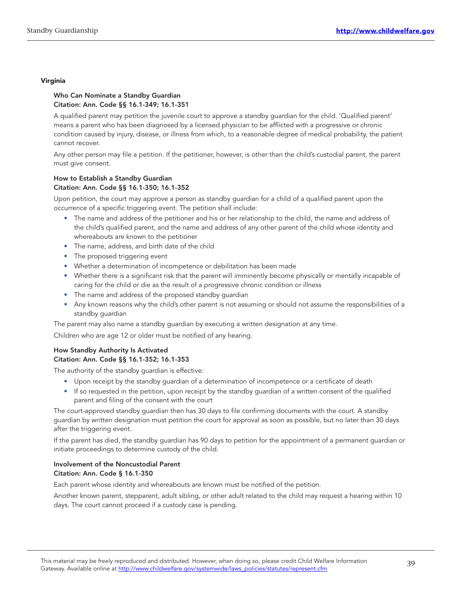#### Virginia

#### Who Can Nominate a Standby Guardian Citation: Ann. Code §§ 16.1-349; 16.1-351

A qualified parent may petition the juvenile court to approve a standby guardian for the child. 'Qualified parent' means a parent who has been diagnosed by a licensed physician to be afflicted with a progressive or chronic condition caused by injury, disease, or illness from which, to a reasonable degree of medical probability, the patient cannot recover.

Any other person may file a petition. If the petitioner, however, is other than the child's custodial parent, the parent must give consent.

#### How to Establish a Standby Guardian Citation: Ann. Code §§ 16.1-350; 16.1-352

Upon petition, the court may approve a person as standby guardian for a child of a qualified parent upon the occurrence of a specific triggering event. The petition shall include:

- The name and address of the petitioner and his or her relationship to the child, the name and address of the child's qualified parent, and the name and address of any other parent of the child whose identity and whereabouts are known to the petitioner
- The name, address, and birth date of the child
- The proposed triggering event
- Whether a determination of incompetence or debilitation has been made
- Whether there is a significant risk that the parent will imminently become physically or mentally incapable of caring for the child or die as the result of a progressive chronic condition or illness
- The name and address of the proposed standby guardian
- Any known reasons why the child's other parent is not assuming or should not assume the responsibilities of a standby guardian

The parent may also name a standby guardian by executing a written designation at any time.

Children who are age 12 or older must be notified of any hearing.

#### How Standby Authority Is Activated Citation: Ann. Code §§ 16.1-352; 16.1-353

The authority of the standby guardian is effective:

- Upon receipt by the standby guardian of a determination of incompetence or a certificate of death
- If so requested in the petition, upon receipt by the standby guardian of a written consent of the qualified parent and filing of the consent with the court

The court-approved standby guardian then has 30 days to file confirming documents with the court. A standby guardian by written designation must petition the court for approval as soon as possible, but no later than 30 days after the triggering event.

If the parent has died, the standby guardian has 90 days to petition for the appointment of a permanent guardian or initiate proceedings to determine custody of the child.

#### Involvement of the Noncustodial Parent Citation: Ann. Code § 16.1-350

Each parent whose identity and whereabouts are known must be notified of the petition.

Another known parent, stepparent, adult sibling, or other adult related to the child may request a hearing within 10 days. The court cannot proceed if a custody case is pending.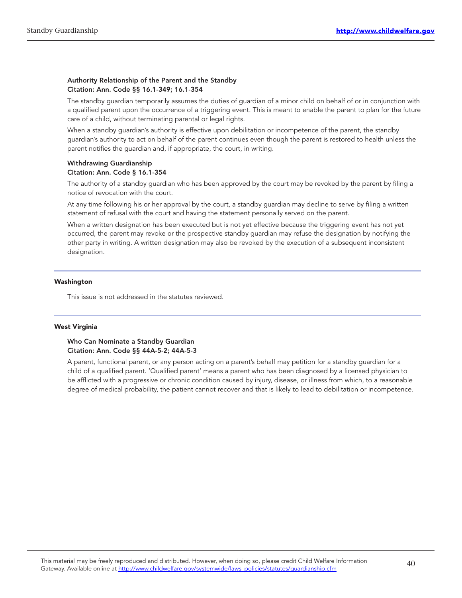#### Authority Relationship of the Parent and the Standby Citation: Ann. Code §§ 16.1-349; 16.1-354

The standby guardian temporarily assumes the duties of guardian of a minor child on behalf of or in conjunction with a qualified parent upon the occurrence of a triggering event. This is meant to enable the parent to plan for the future care of a child, without terminating parental or legal rights.

When a standby guardian's authority is effective upon debilitation or incompetence of the parent, the standby guardian's authority to act on behalf of the parent continues even though the parent is restored to health unless the parent notifies the guardian and, if appropriate, the court, in writing.

#### Withdrawing Guardianship Citation: Ann. Code § 16.1-354

The authority of a standby guardian who has been approved by the court may be revoked by the parent by filing a notice of revocation with the court.

At any time following his or her approval by the court, a standby guardian may decline to serve by filing a written statement of refusal with the court and having the statement personally served on the parent.

When a written designation has been executed but is not yet effective because the triggering event has not yet occurred, the parent may revoke or the prospective standby guardian may refuse the designation by notifying the other party in writing. A written designation may also be revoked by the execution of a subsequent inconsistent designation.

#### Washington

This issue is not addressed in the statutes reviewed.

#### West Virginia

#### Who Can Nominate a Standby Guardian Citation: Ann. Code §§ 44A-5-2; 44A-5-3

A parent, functional parent, or any person acting on a parent's behalf may petition for a standby guardian for a child of a qualified parent. 'Qualified parent' means a parent who has been diagnosed by a licensed physician to be afflicted with a progressive or chronic condition caused by injury, disease, or illness from which, to a reasonable degree of medical probability, the patient cannot recover and that is likely to lead to debilitation or incompetence.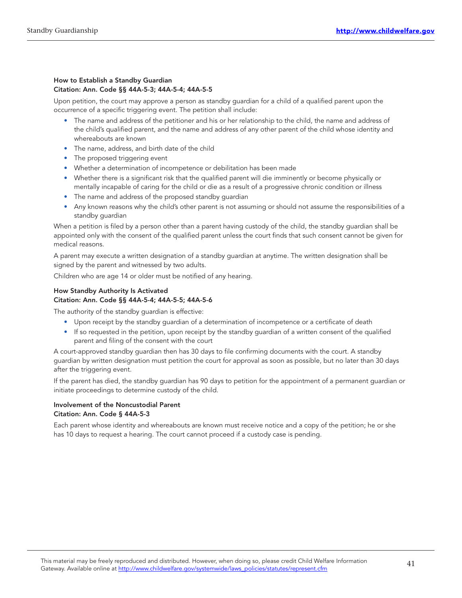#### How to Establish a Standby Guardian Citation: Ann. Code §§ 44A-5-3; 44A-5-4; 44A-5-5

Upon petition, the court may approve a person as standby guardian for a child of a qualified parent upon the occurrence of a specific triggering event. The petition shall include:

- The name and address of the petitioner and his or her relationship to the child, the name and address of the child's qualified parent, and the name and address of any other parent of the child whose identity and whereabouts are known
- The name, address, and birth date of the child
- The proposed triggering event
- Whether a determination of incompetence or debilitation has been made
- Whether there is a significant risk that the qualified parent will die imminently or become physically or mentally incapable of caring for the child or die as a result of a progressive chronic condition or illness
- The name and address of the proposed standby guardian
- Any known reasons why the child's other parent is not assuming or should not assume the responsibilities of a standby guardian

When a petition is filed by a person other than a parent having custody of the child, the standby guardian shall be appointed only with the consent of the qualified parent unless the court finds that such consent cannot be given for medical reasons.

A parent may execute a written designation of a standby guardian at anytime. The written designation shall be signed by the parent and witnessed by two adults.

Children who are age 14 or older must be notified of any hearing.

#### How Standby Authority Is Activated Citation: Ann. Code §§ 44A-5-4; 44A-5-5; 44A-5-6

The authority of the standby guardian is effective:

- Upon receipt by the standby guardian of a determination of incompetence or a certificate of death
- If so requested in the petition, upon receipt by the standby guardian of a written consent of the qualified parent and filing of the consent with the court

A court‑approved standby guardian then has 30 days to file confirming documents with the court. A standby guardian by written designation must petition the court for approval as soon as possible, but no later than 30 days after the triggering event.

If the parent has died, the standby guardian has 90 days to petition for the appointment of a permanent guardian or initiate proceedings to determine custody of the child.

#### Involvement of the Noncustodial Parent Citation: Ann. Code § 44A-5-3

Each parent whose identity and whereabouts are known must receive notice and a copy of the petition; he or she has 10 days to request a hearing. The court cannot proceed if a custody case is pending.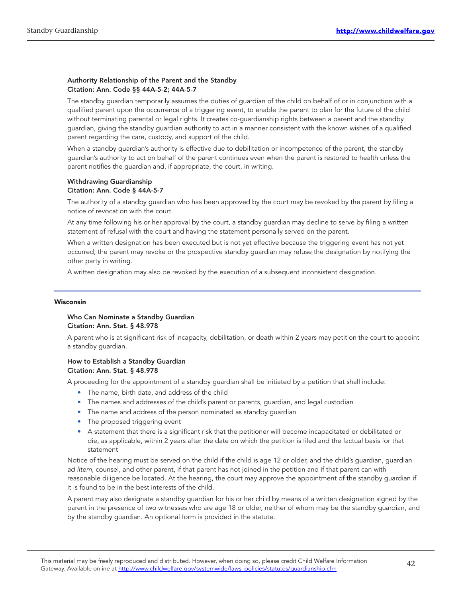#### Authority Relationship of the Parent and the Standby Citation: Ann. Code §§ 44A-5-2; 44A-5-7

The standby guardian temporarily assumes the duties of guardian of the child on behalf of or in conjunction with a qualified parent upon the occurrence of a triggering event, to enable the parent to plan for the future of the child without terminating parental or legal rights. It creates co-guardianship rights between a parent and the standby guardian, giving the standby guardian authority to act in a manner consistent with the known wishes of a qualified parent regarding the care, custody, and support of the child.

When a standby guardian's authority is effective due to debilitation or incompetence of the parent, the standby guardian's authority to act on behalf of the parent continues even when the parent is restored to health unless the parent notifies the guardian and, if appropriate, the court, in writing.

#### Withdrawing Guardianship Citation: Ann. Code § 44A-5-7

The authority of a standby guardian who has been approved by the court may be revoked by the parent by filing a notice of revocation with the court.

At any time following his or her approval by the court, a standby guardian may decline to serve by filing a written statement of refusal with the court and having the statement personally served on the parent.

When a written designation has been executed but is not yet effective because the triggering event has not yet occurred, the parent may revoke or the prospective standby guardian may refuse the designation by notifying the other party in writing.

A written designation may also be revoked by the execution of a subsequent inconsistent designation.

#### Wisconsin

#### Who Can Nominate a Standby Guardian Citation: Ann. Stat. § 48.978

A parent who is at significant risk of incapacity, debilitation, or death within 2 years may petition the court to appoint a standby guardian.

#### How to Establish a Standby Guardian Citation: Ann. Stat. § 48.978

A proceeding for the appointment of a standby guardian shall be initiated by a petition that shall include:

- The name, birth date, and address of the child
- The names and addresses of the child's parent or parents, guardian, and legal custodian
- The name and address of the person nominated as standby guardian
- The proposed triggering event
- A statement that there is a significant risk that the petitioner will become incapacitated or debilitated or die, as applicable, within 2 years after the date on which the petition is filed and the factual basis for that statement

Notice of the hearing must be served on the child if the child is age 12 or older, and the child's guardian, guardian ad litem, counsel, and other parent, if that parent has not joined in the petition and if that parent can with reasonable diligence be located. At the hearing, the court may approve the appointment of the standby guardian if it is found to be in the best interests of the child.

A parent may also designate a standby guardian for his or her child by means of a written designation signed by the parent in the presence of two witnesses who are age 18 or older, neither of whom may be the standby guardian, and by the standby guardian. An optional form is provided in the statute.